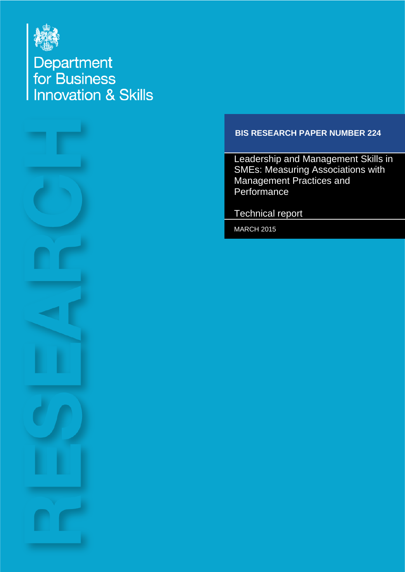

Department<br>for Business<br>Innovation & Skills



### **BIS RESEARCH PAPER NUMBER 224**

Leadership and Management Skills in SMEs: Measuring Associations with Management Practices and **Performance** 

Technical report

MARCH 2015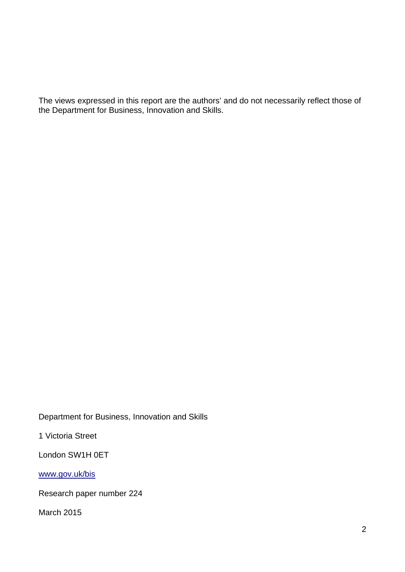The views expressed in this report are the authors' and do not necessarily reflect those of the Department for Business, Innovation and Skills.

Department for Business, Innovation and Skills

1 Victoria Street

London SW1H 0ET

[www.gov.uk/bis](https://www.gov.uk/government/organisations/department-for-business-innovation-skills)

Research paper number 224

March 2015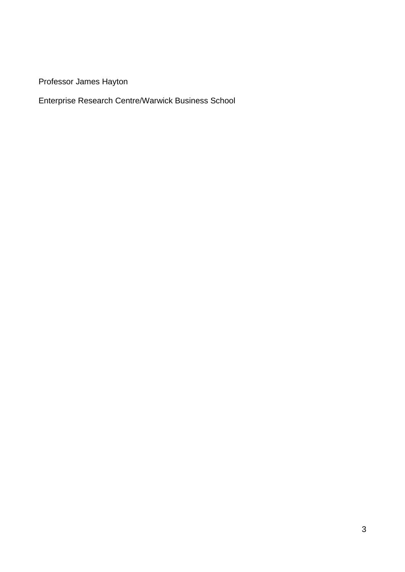Professor James Hayton

Enterprise Research Centre/Warwick Business School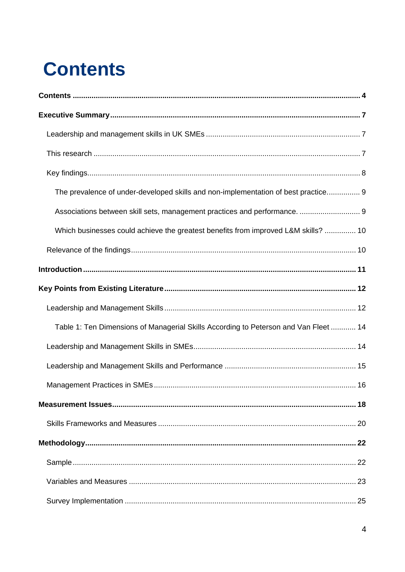# <span id="page-3-0"></span>**Contents**

| The prevalence of under-developed skills and non-implementation of best practice 9   |
|--------------------------------------------------------------------------------------|
| Associations between skill sets, management practices and performance.  9            |
| Which businesses could achieve the greatest benefits from improved L&M skills?  10   |
|                                                                                      |
|                                                                                      |
|                                                                                      |
|                                                                                      |
| Table 1: Ten Dimensions of Managerial Skills According to Peterson and Van Fleet  14 |
|                                                                                      |
|                                                                                      |
|                                                                                      |
|                                                                                      |
|                                                                                      |
|                                                                                      |
|                                                                                      |
|                                                                                      |
|                                                                                      |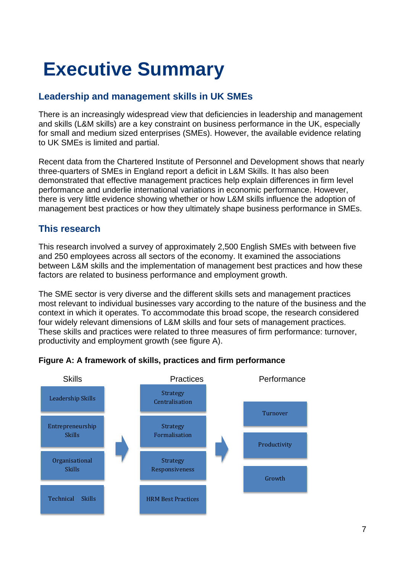# <span id="page-6-0"></span>**Executive Summary**

# <span id="page-6-1"></span>**Leadership and management skills in UK SMEs**

There is an increasingly widespread view that deficiencies in leadership and management and skills (L&M skills) are a key constraint on business performance in the UK, especially for small and medium sized enterprises (SMEs). However, the available evidence relating to UK SMEs is limited and partial.

Recent data from the Chartered Institute of Personnel and Development shows that nearly three-quarters of SMEs in England report a deficit in L&M Skills. It has also been demonstrated that effective management practices help explain differences in firm level performance and underlie international variations in economic performance. However, there is very little evidence showing whether or how L&M skills influence the adoption of management best practices or how they ultimately shape business performance in SMEs.

### <span id="page-6-2"></span>**This research**

This research involved a survey of approximately 2,500 English SMEs with between five and 250 employees across all sectors of the economy. It examined the associations between L&M skills and the implementation of management best practices and how these factors are related to business performance and employment growth.

The SME sector is very diverse and the different skills sets and management practices most relevant to individual businesses vary according to the nature of the business and the context in which it operates. To accommodate this broad scope, the research considered four widely relevant dimensions of L&M skills and four sets of management practices. These skills and practices were related to three measures of firm performance: turnover, productivity and employment growth (see figure A).



#### **Figure A: A framework of skills, practices and firm performance**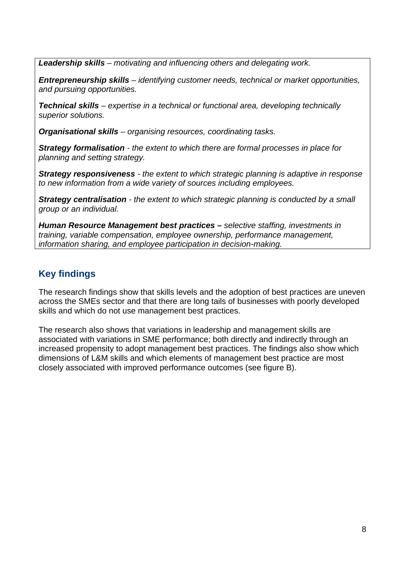*Leadership skills – motivating and influencing others and delegating work.*

*Entrepreneurship skills – identifying customer needs, technical or market opportunities, and pursuing opportunities.*

*Technical skills – expertise in a technical or functional area, developing technically superior solutions.*

*Organisational skills – organising resources, coordinating tasks.*

*Strategy formalisation - the extent to which there are formal processes in place for planning and setting strategy.*

*Strategy responsiveness - the extent to which strategic planning is adaptive in response to new information from a wide variety of sources including employees.*

*Strategy centralisation - the extent to which strategic planning is conducted by a small group or an individual.*

*Human Resource Management best practices – selective staffing, investments in training, variable compensation, employee ownership, performance management, information sharing, and employee participation in decision-making.* 

# <span id="page-7-0"></span>**Key findings**

The research findings show that skills levels and the adoption of best practices are uneven across the SMEs sector and that there are long tails of businesses with poorly developed skills and which do not use management best practices.

The research also shows that variations in leadership and management skills are associated with variations in SME performance; both directly and indirectly through an increased propensity to adopt management best practices. The findings also show which dimensions of L&M skills and which elements of management best practice are most closely associated with improved performance outcomes (see figure B).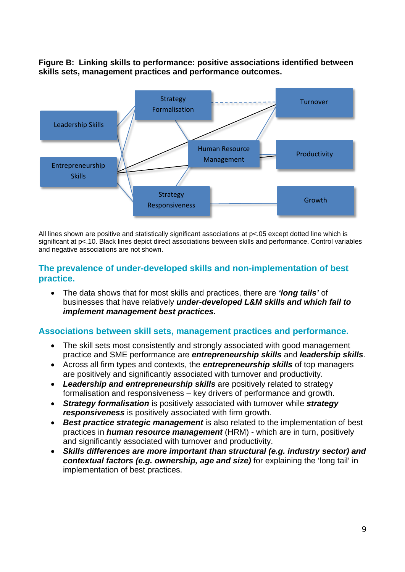**Figure B: Linking skills to performance: positive associations identified between skills sets, management practices and performance outcomes.**



All lines shown are positive and statistically significant associations at p<.05 except dotted line which is significant at p<.10. Black lines depict direct associations between skills and performance. Control variables and negative associations are not shown.

#### <span id="page-8-0"></span>**The prevalence of under-developed skills and non-implementation of best practice.**

• The data shows that for most skills and practices, there are *'long tails'* of businesses that have relatively *under-developed L&M skills and which fail to implement management best practices.*

#### <span id="page-8-1"></span>**Associations between skill sets, management practices and performance.**

- The skill sets most consistently and strongly associated with good management practice and SME performance are *entrepreneurship skills* and *leadership skills*.
- Across all firm types and contexts, the *entrepreneurship skills* of top managers are positively and significantly associated with turnover and productivity.
- *Leadership and entrepreneurship skills* are positively related to strategy formalisation and responsiveness – key drivers of performance and growth.
- *Strategy formalisation* is positively associated with turnover while *strategy responsiveness* is positively associated with firm growth.
- *Best practice strategic management* is also related to the implementation of best practices in *human resource management* (HRM) - which are in turn, positively and significantly associated with turnover and productivity.
- *Skills differences are more important than structural (e.g. industry sector) and contextual factors (e.g. ownership, age and size)* for explaining the 'long tail' in implementation of best practices.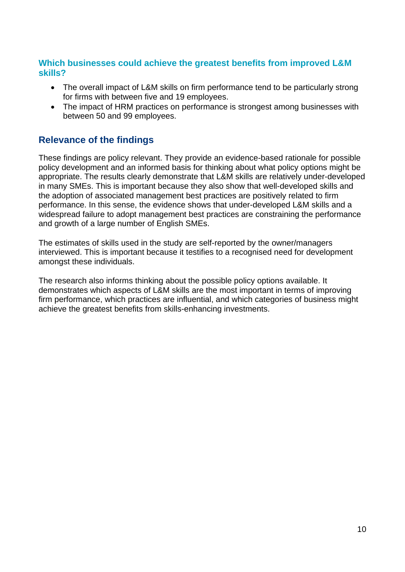#### <span id="page-9-0"></span>**Which businesses could achieve the greatest benefits from improved L&M skills?**

- The overall impact of L&M skills on firm performance tend to be particularly strong for firms with between five and 19 employees.
- The impact of HRM practices on performance is strongest among businesses with between 50 and 99 employees.

# <span id="page-9-1"></span>**Relevance of the findings**

These findings are policy relevant. They provide an evidence-based rationale for possible policy development and an informed basis for thinking about what policy options might be appropriate. The results clearly demonstrate that L&M skills are relatively under-developed in many SMEs. This is important because they also show that well-developed skills and the adoption of associated management best practices are positively related to firm performance. In this sense, the evidence shows that under-developed L&M skills and a widespread failure to adopt management best practices are constraining the performance and growth of a large number of English SMEs.

The estimates of skills used in the study are self-reported by the owner/managers interviewed. This is important because it testifies to a recognised need for development amongst these individuals.

The research also informs thinking about the possible policy options available. It demonstrates which aspects of L&M skills are the most important in terms of improving firm performance, which practices are influential, and which categories of business might achieve the greatest benefits from skills-enhancing investments.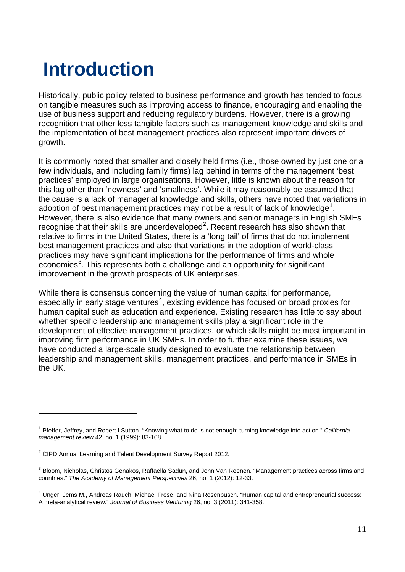# <span id="page-10-0"></span>**Introduction**

Historically, public policy related to business performance and growth has tended to focus on tangible measures such as improving access to finance, encouraging and enabling the use of business support and reducing regulatory burdens. However, there is a growing recognition that other less tangible factors such as management knowledge and skills and the implementation of best management practices also represent important drivers of growth.

It is commonly noted that smaller and closely held firms (i.e., those owned by just one or a few individuals, and including family firms) lag behind in terms of the management 'best practices' employed in large organisations. However, little is known about the reason for this lag other than 'newness' and 'smallness'. While it may reasonably be assumed that the cause is a lack of managerial knowledge and skills, others have noted that variations in adoption of best management practices may not be a result of lack of knowledge<sup>[1](#page-10-1)</sup>. However, there is also evidence that many owners and senior managers in English SMEs recognise that their skills are underdeveloped $^2$  $^2$ . Recent research has also shown that relative to firms in the United States, there is a 'long tail' of firms that do not implement best management practices and also that variations in the adoption of world-class practices may have significant implications for the performance of firms and whole economies<sup>[3](#page-10-3)</sup>. This represents both a challenge and an opportunity for significant improvement in the growth prospects of UK enterprises.

While there is consensus concerning the value of human capital for performance, especially in early stage ventures<sup>[4](#page-10-4)</sup>, existing evidence has focused on broad proxies for human capital such as education and experience. Existing research has little to say about whether specific leadership and management skills play a significant role in the development of effective management practices, or which skills might be most important in improving firm performance in UK SMEs. In order to further examine these issues, we have conducted a large-scale study designed to evaluate the relationship between leadership and management skills, management practices, and performance in SMEs in the UK.

<span id="page-10-1"></span><sup>1</sup> Pfeffer, Jeffrey, and Robert I.Sutton. "Knowing what to do is not enough: turning knowledge into action." *California management review* 42, no. 1 (1999): 83-108.

<span id="page-10-2"></span> $2$  CIPD Annual Learning and Talent Development Survey Report 2012.

<span id="page-10-3"></span><sup>&</sup>lt;sup>3</sup> Bloom, Nicholas, Christos Genakos, Raffaella Sadun, and John Van Reenen. "Management practices across firms and countries." *The Academy of Management Perspectives* 26, no. 1 (2012): 12-33.

<span id="page-10-4"></span><sup>4</sup> Unger, Jems M., Andreas Rauch, Michael Frese, and Nina Rosenbusch. "Human capital and entrepreneurial success: A meta-analytical review." *Journal of Business Venturing* 26, no. 3 (2011): 341-358.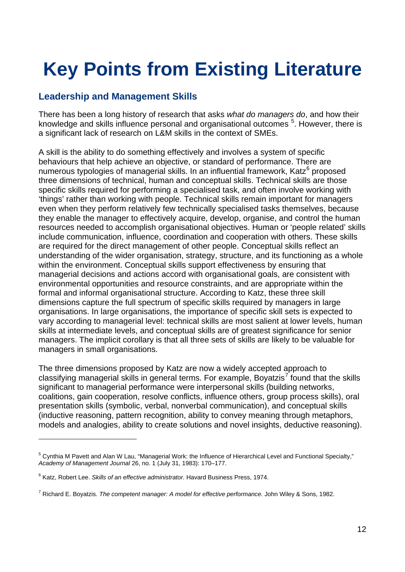# <span id="page-11-0"></span>**Key Points from Existing Literature**

### <span id="page-11-1"></span>**Leadership and Management Skills**

There has been a long history of research that asks *what do managers do*, and how their knowledge and skills influence personal and organisational outcomes <sup>[5](#page-11-2)</sup>. However, there is a significant lack of research on L&M skills in the context of SMEs.

A skill is the ability to do something effectively and involves a system of specific behaviours that help achieve an objective, or standard of performance. There are numerous typologies of managerial skills. In an influential framework, Katz $6$  proposed three dimensions of technical, human and conceptual skills. Technical skills are those specific skills required for performing a specialised task, and often involve working with 'things' rather than working with people. Technical skills remain important for managers even when they perform relatively few technically specialised tasks themselves, because they enable the manager to effectively acquire, develop, organise, and control the human resources needed to accomplish organisational objectives. Human or 'people related' skills include communication, influence, coordination and cooperation with others. These skills are required for the direct management of other people. Conceptual skills reflect an understanding of the wider organisation, strategy, structure, and its functioning as a whole within the environment. Conceptual skills support effectiveness by ensuring that managerial decisions and actions accord with organisational goals, are consistent with environmental opportunities and resource constraints, and are appropriate within the formal and informal organisational structure. According to Katz, these three skill dimensions capture the full spectrum of specific skills required by managers in large organisations. In large organisations, the importance of specific skill sets is expected to vary according to managerial level: technical skills are most salient at lower levels, human skills at intermediate levels, and conceptual skills are of greatest significance for senior managers. The implicit corollary is that all three sets of skills are likely to be valuable for managers in small organisations.

The three dimensions proposed by Katz are now a widely accepted approach to classifying managerial skills in general terms. For example, Boyatzis<sup>[7](#page-11-4)</sup> found that the skills significant to managerial performance were interpersonal skills (building networks, coalitions, gain cooperation, resolve conflicts, influence others, group process skills), oral presentation skills (symbolic, verbal, nonverbal communication), and conceptual skills (inductive reasoning, pattern recognition, ability to convey meaning through metaphors, models and analogies, ability to create solutions and novel insights, deductive reasoning).

<span id="page-11-2"></span><sup>5</sup> Cynthia M Pavett and Alan W Lau, "Managerial Work: the Influence of Hierarchical Level and Functional Specialty," *Academy of Management Journal* 26, no. 1 (July 31, 1983): 170–177.

<span id="page-11-3"></span><sup>6</sup> Katz, Robert Lee. *Skills of an effective administrator.* Havard Business Press, 1974.

<span id="page-11-4"></span><sup>7</sup> Richard E. Boyatzis. *The competent manager: A model for effective performance.* John Wiley & Sons, 1982.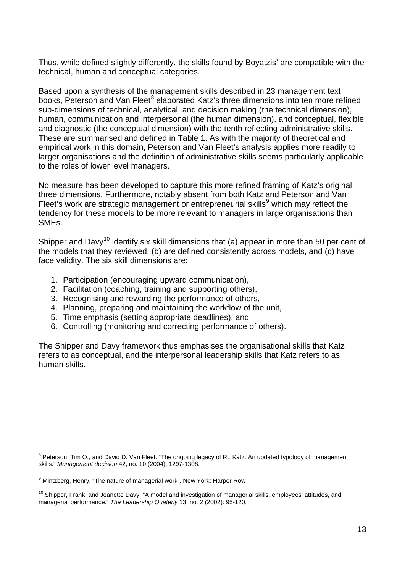Thus, while defined slightly differently, the skills found by Boyatzis' are compatible with the technical, human and conceptual categories.

Based upon a synthesis of the management skills described in 23 management text books, Peterson and Van Fleet<sup>[8](#page-12-0)</sup> elaborated Katz's three dimensions into ten more refined sub-dimensions of technical, analytical, and decision making (the technical dimension), human, communication and interpersonal (the human dimension), and conceptual, flexible and diagnostic (the conceptual dimension) with the tenth reflecting administrative skills. These are summarised and defined in Table 1. As with the majority of theoretical and empirical work in this domain, Peterson and Van Fleet's analysis applies more readily to larger organisations and the definition of administrative skills seems particularly applicable to the roles of lower level managers.

No measure has been developed to capture this more refined framing of Katz's original three dimensions. Furthermore, notably absent from both Katz and Peterson and Van Fleet's work are strategic management or entrepreneurial skills $9$  which may reflect the tendency for these models to be more relevant to managers in large organisations than SMEs.

Shipper and Davy<sup>[10](#page-12-2)</sup> identify six skill dimensions that (a) appear in more than 50 per cent of the models that they reviewed, (b) are defined consistently across models, and (c) have face validity. The six skill dimensions are:

- 1. Participation (encouraging upward communication),
- 2. Facilitation (coaching, training and supporting others),
- 3. Recognising and rewarding the performance of others,
- 4. Planning, preparing and maintaining the workflow of the unit,
- 5. Time emphasis (setting appropriate deadlines), and
- 6. Controlling (monitoring and correcting performance of others).

The Shipper and Davy framework thus emphasises the organisational skills that Katz refers to as conceptual, and the interpersonal leadership skills that Katz refers to as human skills.

<span id="page-12-0"></span><sup>&</sup>lt;sup>8</sup> Peterson, Tim O., and David D. Van Fleet. "The ongoing legacy of RL Katz: An updated typology of management skills." *Management decision* 42, no. 10 (2004): 1297-1308.

<span id="page-12-1"></span><sup>&</sup>lt;sup>9</sup> Mintzberg. Henry. "The nature of managerial work". New York: Harper Row

<span id="page-12-2"></span> $10$  Shipper, Frank, and Jeanette Davy. "A model and investigation of managerial skills, employees' attitudes, and managerial performance." *The Leadership Quaterly* 13, no. 2 (2002): 95-120.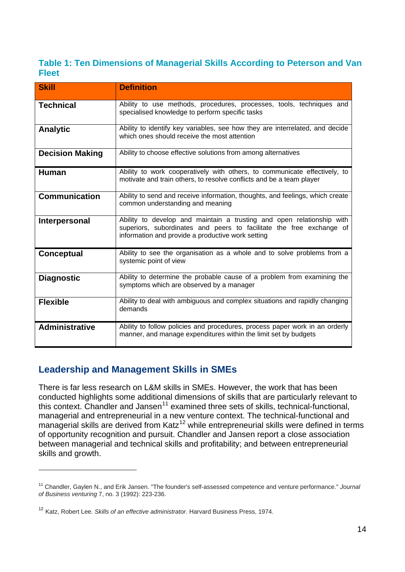#### <span id="page-13-0"></span>**Table 1: Ten Dimensions of Managerial Skills According to Peterson and Van Fleet**

| <b>Skill</b>           | <b>Definition</b>                                                                                                                                                                                  |
|------------------------|----------------------------------------------------------------------------------------------------------------------------------------------------------------------------------------------------|
| <b>Technical</b>       | Ability to use methods, procedures, processes, tools, techniques and<br>specialised knowledge to perform specific tasks                                                                            |
| <b>Analytic</b>        | Ability to identify key variables, see how they are interrelated, and decide<br>which ones should receive the most attention                                                                       |
| <b>Decision Making</b> | Ability to choose effective solutions from among alternatives                                                                                                                                      |
| <b>Human</b>           | Ability to work cooperatively with others, to communicate effectively, to<br>motivate and train others, to resolve conflicts and be a team player                                                  |
| <b>Communication</b>   | Ability to send and receive information, thoughts, and feelings, which create<br>common understanding and meaning                                                                                  |
| Interpersonal          | Ability to develop and maintain a trusting and open relationship with<br>superiors, subordinates and peers to facilitate the free exchange of<br>information and provide a productive work setting |
| Conceptual             | Ability to see the organisation as a whole and to solve problems from a<br>systemic point of view                                                                                                  |
| <b>Diagnostic</b>      | Ability to determine the probable cause of a problem from examining the<br>symptoms which are observed by a manager                                                                                |
| <b>Flexible</b>        | Ability to deal with ambiguous and complex situations and rapidly changing<br>demands                                                                                                              |
| <b>Administrative</b>  | Ability to follow policies and procedures, process paper work in an orderly<br>manner, and manage expenditures within the limit set by budgets                                                     |

# <span id="page-13-1"></span>**Leadership and Management Skills in SMEs**

 $\overline{a}$ 

There is far less research on L&M skills in SMEs. However, the work that has been conducted highlights some additional dimensions of skills that are particularly relevant to this context. Chandler and Jansen<sup>[11](#page-13-2)</sup> examined three sets of skills, technical-functional, managerial and entrepreneurial in a new venture context. The technical-functional and managerial skills are derived from  $Katz^{12}$  $Katz^{12}$  $Katz^{12}$  while entrepreneurial skills were defined in terms of opportunity recognition and pursuit. Chandler and Jansen report a close association between managerial and technical skills and profitability; and between entrepreneurial skills and growth.

<span id="page-13-2"></span><sup>11</sup> Chandler, Gaylen N., and Erik Jansen. "The founder's self-assessed competence and venture performance." *Journal of Business venturing* 7, no. 3 (1992): 223-236.

<span id="page-13-3"></span><sup>12</sup> Katz, Robert Lee. *Skills of an effective administrator*. Harvard Business Press, 1974.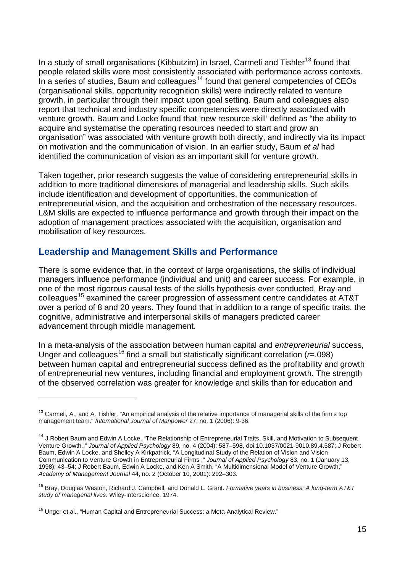In a study of small organisations (Kibbutzim) in Israel, Carmeli and Tishler<sup>[13](#page-14-1)</sup> found that people related skills were most consistently associated with performance across contexts. In a series of studies, Baum and colleagues<sup> $14$ </sup> found that general competencies of CEOs (organisational skills, opportunity recognition skills) were indirectly related to venture growth, in particular through their impact upon goal setting. Baum and colleagues also report that technical and industry specific competencies were directly associated with venture growth. Baum and Locke found that 'new resource skill' defined as "the ability to acquire and systematise the operating resources needed to start and grow an organisation" was associated with venture growth both directly, and indirectly via its impact on motivation and the communication of vision. In an earlier study, Baum *et al* had identified the communication of vision as an important skill for venture growth.

Taken together, prior research suggests the value of considering entrepreneurial skills in addition to more traditional dimensions of managerial and leadership skills. Such skills include identification and development of opportunities, the communication of entrepreneurial vision, and the acquisition and orchestration of the necessary resources. L&M skills are expected to influence performance and growth through their impact on the adoption of management practices associated with the acquisition, organisation and mobilisation of key resources.

#### <span id="page-14-0"></span>**Leadership and Management Skills and Performance**

There is some evidence that, in the context of large organisations, the skills of individual managers influence performance (individual and unit) and career success. For example, in one of the most rigorous causal tests of the skills hypothesis ever conducted, Bray and colleagues<sup>[15](#page-14-3)</sup> examined the career progression of assessment centre candidates at AT&T over a period of 8 and 20 years. They found that in addition to a range of specific traits, the cognitive, administrative and interpersonal skills of managers predicted career advancement through middle management.

In a meta-analysis of the association between human capital and *entrepreneurial* success, Unger and colleagues<sup>[16](#page-14-4)</sup> find a small but statistically significant correlation ( $r=0.098$ ) between human capital and entrepreneurial success defined as the profitability and growth of entrepreneurial new ventures, including financial and employment growth. The strength of the observed correlation was greater for knowledge and skills than for education and

<span id="page-14-1"></span> $<sup>13</sup>$  Carmeli, A., and A. Tishler. "An empirical analysis of the relative importance of managerial skills of the firm's top</sup> management team." *International Journal of Manpower* 27, no. 1 (2006): 9-36.

<span id="page-14-2"></span><sup>&</sup>lt;sup>14</sup> J Robert Baum and Edwin A Locke, "The Relationship of Entrepreneurial Traits, Skill, and Motivation to Subsequent Venture Growth.," *Journal of Applied Psychology* 89, no. 4 (2004): 587–598, doi:10.1037/0021-9010.89.4.587; J Robert Baum, Edwin A Locke, and Shelley A Kirkpatrick, "A Longitudinal Study of the Relation of Vision and Vision Communication to Venture Growth in Entrepreneurial Firms ," *Journal of Applied Psychology* 83, no. 1 (January 13, 1998): 43–54; J Robert Baum, Edwin A Locke, and Ken A Smith, "A Multidimensional Model of Venture Growth," *Academy of Management Journal* 44, no. 2 (October 10, 2001): 292–303.

<span id="page-14-3"></span><sup>15</sup> Bray, Douglas Weston, Richard J. Campbell, and Donald L. Grant. *Formative years in business: A long-term AT&T study of managerial lives*. Wiley-Interscience, 1974.

<span id="page-14-4"></span><sup>&</sup>lt;sup>16</sup> Unger et al., "Human Capital and Entrepreneurial Success: a Meta-Analytical Review."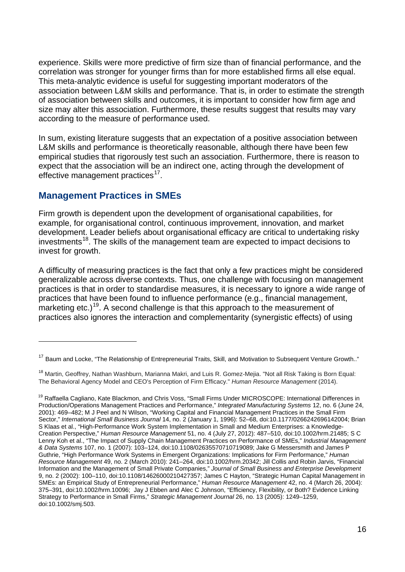experience. Skills were more predictive of firm size than of financial performance, and the correlation was stronger for younger firms than for more established firms all else equal. This meta-analytic evidence is useful for suggesting important moderators of the association between L&M skills and performance. That is, in order to estimate the strength of association between skills and outcomes, it is important to consider how firm age and size may alter this association. Furthermore, these results suggest that results may vary according to the measure of performance used.

In sum, existing literature suggests that an expectation of a positive association between L&M skills and performance is theoretically reasonable, although there have been few empirical studies that rigorously test such an association. Furthermore, there is reason to expect that the association will be an indirect one, acting through the development of effective management practices<sup>[17](#page-15-1)</sup>.

#### <span id="page-15-0"></span>**Management Practices in SMEs**

 $\overline{a}$ 

Firm growth is dependent upon the development of organisational capabilities, for example, for organisational control, continuous improvement, innovation, and market development. Leader beliefs about organisational efficacy are critical to undertaking risky investments<sup>[18](#page-15-2)</sup>. The skills of the management team are expected to impact decisions to invest for growth.

A difficulty of measuring practices is the fact that only a few practices might be considered generalizable across diverse contexts. Thus, one challenge with focusing on management practices is that in order to standardise measures, it is necessary to ignore a wide range of practices that have been found to influence performance (e.g., financial management, marketing etc.)<sup>[19](#page-15-3)</sup>. A second challenge is that this approach to the measurement of practices also ignores the interaction and complementarity (synergistic effects) of using

<span id="page-15-1"></span><sup>&</sup>lt;sup>17</sup> Baum and Locke, "The Relationship of Entrepreneurial Traits, Skill, and Motivation to Subsequent Venture Growth.."

<span id="page-15-2"></span><sup>&</sup>lt;sup>18</sup> Martin, Geoffrey, Nathan Washburn, Marianna Makri, and Luis R. Gomez-Meiia. "Not all Risk Taking is Born Equal: The Behavioral Agency Model and CEO's Perception of Firm Efficacy." *Human Resource Management* (2014).

<span id="page-15-3"></span><sup>&</sup>lt;sup>19</sup> Raffaella Cagliano, Kate Blackmon, and Chris Voss, "Small Firms Under MICROSCOPE: International Differences in Production/Operations Management Practices and Performance," *Integrated Manufacturing Systems* 12, no. 6 (June 24, 2001): 469–482; M J Peel and N Wilson, "Working Capital and Financial Management Practices in the Small Firm Sector," *International Small Business Journal* 14, no. 2 (January 1, 1996): 52–68, doi:10.1177/0266242696142004; Brian S Klaas et al., "High-Performance Work System Implementation in Small and Medium Enterprises: a Knowledge-Creation Perspective," *Human Resource Management* 51, no. 4 (July 27, 2012): 487–510, doi:10.1002/hrm.21485; S C Lenny Koh et al., "The Impact of Supply Chain Management Practices on Performance of SMEs," *Industrial Management & Data Systems* 107, no. 1 (2007): 103–124, doi:10.1108/02635570710719089; Jake G Messersmith and James P Guthrie, "High Performance Work Systems in Emergent Organizations: Implications for Firm Performance," *Human Resource Management* 49, no. 2 (March 2010): 241–264, doi:10.1002/hrm.20342; Jill Collis and Robin Jarvis, "Financial Information and the Management of Small Private Companies," *Journal of Small Business and Enterprise Development* 9, no. 2 (2002): 100–110, doi:10.1108/14626000210427357; James C Hayton, "Strategic Human Capital Management in SMEs: an Empirical Study of Entrepreneurial Performance," *Human Resource Management* 42, no. 4 (March 26, 2004): 375–391, doi:10.1002/hrm.10096; Jay J Ebben and Alec C Johnson, "Efficiency, Flexibility, or Both? Evidence Linking Strategy to Performance in Small Firms," *Strategic Management Journal* 26, no. 13 (2005): 1249–1259, doi:10.1002/smj.503.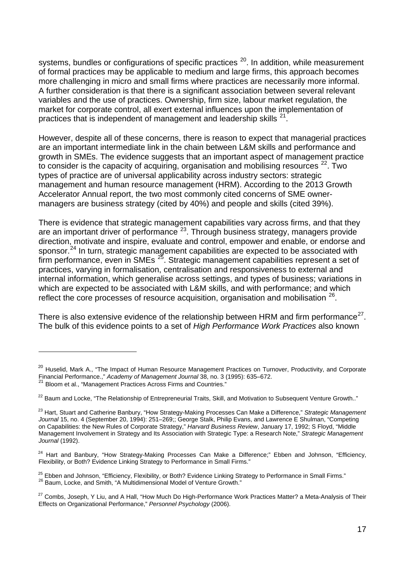systems, bundles or configurations of specific practices  $20$ . In addition, while measurement of formal practices may be applicable to medium and large firms, this approach becomes more challenging in micro and small firms where practices are necessarily more informal. A further consideration is that there is a significant association between several relevant variables and the use of practices. Ownership, firm size, labour market regulation, the market for corporate control, all exert external influences upon the implementation of practices that is independent of management and leadership skills <sup>[21](#page-16-1)</sup>.

However, despite all of these concerns, there is reason to expect that managerial practices are an important intermediate link in the chain between L&M skills and performance and growth in SMEs. The evidence suggests that an important aspect of management practice to consider is the capacity of acquiring, organisation and mobilising resources  $22$ . Two types of practice are of universal applicability across industry sectors: strategic management and human resource management (HRM). According to the 2013 Growth Accelerator Annual report, the two most commonly cited concerns of SME ownermanagers are business strategy (cited by 40%) and people and skills (cited 39%).

There is evidence that strategic management capabilities vary across firms, and that they are an important driver of performance  $23$ . Through business strategy, managers provide direction, motivate and inspire, evaluate and control, empower and enable, or endorse and sponsor.<sup>[24](#page-16-4)</sup> In turn, strategic management capabilities are expected to be associated with  $f_{\text{r}}$  firm performance, even in SMEs  $^{25}$ . Strategic management capabilities represent a set of practices, varying in formalisation, centralisation and responsiveness to external and internal information, which generalise across settings, and types of business; variations in which are expected to be associated with L&M skills, and with performance; and which reflect the core processes of resource acquisition, organisation and mobilisation  $26$ .

There is also extensive evidence of the relationship between HRM and firm performance $^{27}$ . The bulk of this evidence points to a set of *High Performance Work Practices* also known

<span id="page-16-0"></span><sup>&</sup>lt;sup>20</sup> Huselid, Mark A., "The Impact of Human Resource Management Practices on Turnover, Productivity, and Corporate Financial Performance.," *Academy of Management Journal* 38, no. 3 (1995): 635–672.

<span id="page-16-1"></span><sup>21</sup> Bloom et al., "Management Practices Across Firms and Countries."

<span id="page-16-2"></span><sup>&</sup>lt;sup>22</sup> Baum and Locke, "The Relationship of Entrepreneurial Traits, Skill, and Motivation to Subsequent Venture Growth.."

<span id="page-16-3"></span><sup>23</sup> Hart, Stuart and Catherine Banbury, "How Strategy-Making Processes Can Make a Difference," *Strategic Management Journal* 15, no. 4 (September 20, 1994): 251–269;; George Stalk, Philip Evans, and Lawrence E Shulman, "Competing on Capabilities: the New Rules of Corporate Strategy," *Harvard Business Review*, January 17, 1992; S Floyd, "Middle Management Involvement in Strategy and Its Association with Strategic Type: a Research Note," *Strategic Management Journal* (1992).

<span id="page-16-4"></span><sup>&</sup>lt;sup>24</sup> Hart and Banbury, "How Strategy-Making Processes Can Make a Difference;" Ebben and Johnson, "Efficiency, Flexibility, or Both? Evidence Linking Strategy to Performance in Small Firms."

<span id="page-16-6"></span><span id="page-16-5"></span><sup>&</sup>lt;sup>25</sup> Ebben and Johnson, "Efficiency, Flexibility, or Both? Evidence Linking Strategy to Performance in Small Firms."<br><sup>26</sup> Baum. Locke, and Smith, "A Multidimensional Model of Venture Growth."

<span id="page-16-7"></span><sup>&</sup>lt;sup>27</sup> Combs, Joseph, Y Liu, and A Hall, "How Much Do High-Performance Work Practices Matter? a Meta-Analysis of Their Effects on Organizational Performance," *Personnel Psychology* (2006).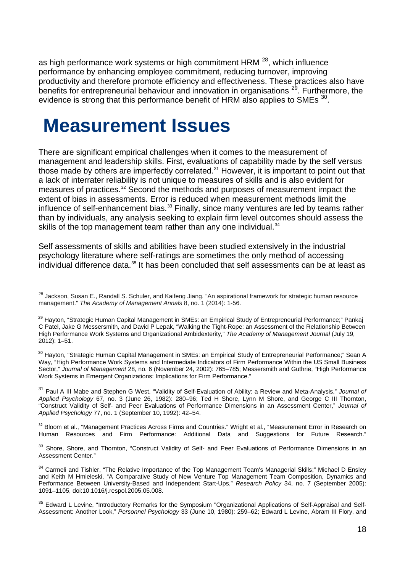as high performance work systems or high commitment HRM <sup>[28](#page-17-1)</sup>, which influence performance by enhancing employee commitment, reducing turnover, improving productivity and therefore promote efficiency and effectiveness. These practices also have benefits for entrepreneurial behaviour and innovation in organisations  $29$ . Furthermore, the evidence is strong that this performance benefit of HRM also applies to SMEs <sup>[30](#page-17-3)</sup>.

# <span id="page-17-0"></span>**Measurement Issues**

 $\overline{a}$ 

There are significant empirical challenges when it comes to the measurement of management and leadership skills. First, evaluations of capability made by the self versus those made by others are imperfectly correlated.<sup>[31](#page-17-4)</sup> However, it is important to point out that a lack of interrater reliability is not unique to measures of skills and is also evident for measures of practices.[32](#page-17-5) Second the methods and purposes of measurement impact the extent of bias in assessments. Error is reduced when measurement methods limit the influence of self-enhancement bias.<sup>[33](#page-17-6)</sup> Finally, since many ventures are led by teams rather than by individuals, any analysis seeking to explain firm level outcomes should assess the skills of the top management team rather than any one individual.<sup>[34](#page-17-7)</sup>

Self assessments of skills and abilities have been studied extensively in the industrial psychology literature where self-ratings are sometimes the only method of accessing individual difference data.<sup>[35](#page-17-8)</sup> It has been concluded that self assessments can be at least as

<span id="page-17-3"></span><sup>30</sup> Havton. "Strategic Human Capital Management in SMEs: an Empirical Study of Entrepreneurial Performance;" Sean A Way, "High Performance Work Systems and Intermediate Indicators of Firm Performance Within the US Small Business Sector," *Journal of Management* 28, no. 6 (November 24, 2002): 765–785; Messersmith and Guthrie, "High Performance Work Systems in Emergent Organizations: Implications for Firm Performance."

<span id="page-17-4"></span><sup>31</sup> Paul A III Mabe and Stephen G West, "Validity of Self-Evaluation of Ability: a Review and Meta-Analysis," *Journal of Applied Psychology* 67, no. 3 (June 26, 1982): 280–96; Ted H Shore, Lynn M Shore, and George C III Thornton, "Construct Validity of Self- and Peer Evaluations of Performance Dimensions in an Assessment Center," *Journal of Applied Psychology* 77, no. 1 (September 10, 1992): 42–54.

<span id="page-17-5"></span><sup>32</sup> Bloom et al., "Management Practices Across Firms and Countries." Wright et al., "Measurement Error in Research on Human Resources and Firm Performance: Additional Data and Suggestions for Future Research."

<span id="page-17-6"></span><sup>33</sup> Shore, Shore, and Thornton, "Construct Validity of Self- and Peer Evaluations of Performance Dimensions in an Assessment Center."

<span id="page-17-1"></span><sup>&</sup>lt;sup>28</sup> Jackson, Susan E., Randall S. Schuler, and Kaifeng Jiang. "An aspirational framework for strategic human resource management." *The Academy of Management Annals* 8, no. 1 (2014): 1-56.

<span id="page-17-2"></span><sup>&</sup>lt;sup>29</sup> Hayton, "Strategic Human Capital Management in SMEs: an Empirical Study of Entrepreneurial Performance:" Pankai C Patel, Jake G Messersmith, and David P Lepak, "Walking the Tight-Rope: an Assessment of the Relationship Between High Performance Work Systems and Organizational Ambidexterity," *The Academy of Management Journal* (July 19, 2012): 1–51.

<span id="page-17-7"></span><sup>&</sup>lt;sup>34</sup> Carmeli and Tishler, "The Relative Importance of the Top Management Team's Managerial Skills;" Michael D Ensley and Keith M Hmieleski, "A Comparative Study of New Venture Top Management Team Composition, Dynamics and Performance Between University-Based and Independent Start-Ups," *Research Policy* 34, no. 7 (September 2005): 1091–1105, doi:10.1016/j.respol.2005.05.008.

<span id="page-17-8"></span><sup>&</sup>lt;sup>35</sup> Edward L Levine, "Introductory Remarks for the Symposium "Organizational Applications of Self-Appraisal and Self-Assessment: Another Look," *Personnel Psychology* 33 (June 10, 1980): 259–62; Edward L Levine, Abram III Flory, and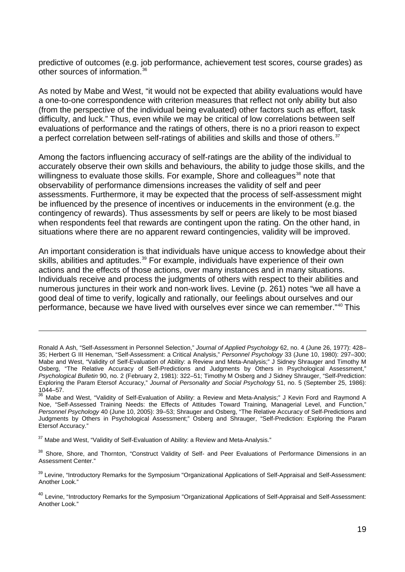predictive of outcomes (e.g. job performance, achievement test scores, course grades) as other sources of information. [36](#page-18-0)

As noted by Mabe and West, "it would not be expected that ability evaluations would have a one-to-one correspondence with criterion measures that reflect not only ability but also (from the perspective of the individual being evaluated) other factors such as effort, task difficulty, and luck." Thus, even while we may be critical of low correlations between self evaluations of performance and the ratings of others, there is no a priori reason to expect a perfect correlation between self-ratings of abilities and skills and those of others.<sup>[37](#page-18-1)</sup>

Among the factors influencing accuracy of self-ratings are the ability of the individual to accurately observe their own skills and behaviours, the ability to judge those skills, and the willingness to evaluate those skills. For example, Shore and colleagues<sup>[38](#page-18-2)</sup> note that observability of performance dimensions increases the validity of self and peer assessments. Furthermore, it may be expected that the process of self-assessment might be influenced by the presence of incentives or inducements in the environment (e.g. the contingency of rewards). Thus assessments by self or peers are likely to be most biased when respondents feel that rewards are contingent upon the rating. On the other hand, in situations where there are no apparent reward contingencies, validity will be improved.

An important consideration is that individuals have unique access to knowledge about their skills, abilities and aptitudes. [39](#page-18-3) For example, individuals have experience of their own actions and the effects of those actions, over many instances and in many situations. Individuals receive and process the judgments of others with respect to their abilities and numerous junctures in their work and non-work lives. Levine (p. 261) notes "we all have a good deal of time to verify, logically and rationally, our feelings about ourselves and our performance, because we have lived with ourselves ever since we can remember."[40](#page-18-4) This

<span id="page-18-1"></span><sup>37</sup> Mabe and West, "Validity of Self-Evaluation of Ability: a Review and Meta-Analysis."

 $\overline{a}$ 

<span id="page-18-2"></span>38 Shore, Shore, and Thornton, "Construct Validity of Self- and Peer Evaluations of Performance Dimensions in an Assessment Center."

<span id="page-18-3"></span><sup>39</sup> Levine, "Introductory Remarks for the Symposium "Organizational Applications of Self-Appraisal and Self-Assessment: Another Look."

<span id="page-18-4"></span><sup>40</sup> Levine, "Introductory Remarks for the Symposium "Organizational Applications of Self-Appraisal and Self-Assessment: Another Look."

Ronald A Ash, "Self-Assessment in Personnel Selection," *Journal of Applied Psychology* 62, no. 4 (June 26, 1977): 428– 35; Herbert G III Heneman, "Self-Assessment: a Critical Analysis," *Personnel Psychology* 33 (June 10, 1980): 297–300; Mabe and West, "Validity of Self-Evaluation of Ability: a Review and Meta-Analysis;" J Sidney Shrauger and Timothy M Osberg, "The Relative Accuracy of Self-Predictions and Judgments by Others in Psychological Assessment," *Psychological Bulletin* 90, no. 2 (February 2, 1981): 322–51; Timothy M Osberg and J Sidney Shrauger, "Self-Prediction: Exploring the Param Etersof Accuracy," *Journal of Personality and Social Psychology* 51, no. 5 (September 25, 1986): 1044–57.

<span id="page-18-0"></span><sup>&</sup>lt;sup>36</sup> Mabe and West, "Validity of Self-Evaluation of Ability: a Review and Meta-Analysis;" J Kevin Ford and Raymond A Noe, "Self-Assessed Training Needs: the Effects of Attitudes Toward Training, Managerial Level, and Function," *Personnel Psychology* 40 (June 10, 2005): 39–53; Shrauger and Osberg, "The Relative Accuracy of Self-Predictions and Judgments by Others in Psychological Assessment;" Osberg and Shrauger, "Self-Prediction: Exploring the Param Etersof Accuracy."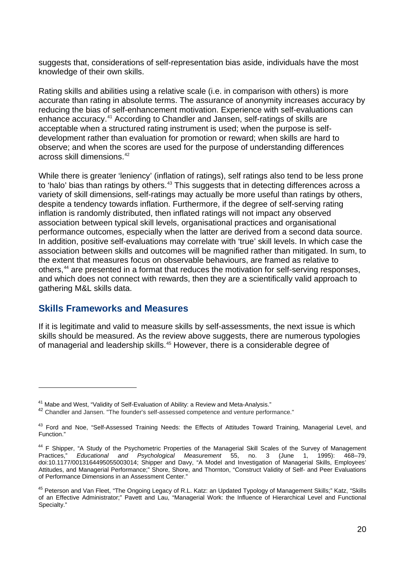suggests that, considerations of self-representation bias aside, individuals have the most knowledge of their own skills.

Rating skills and abilities using a relative scale (i.e. in comparison with others) is more accurate than rating in absolute terms. The assurance of anonymity increases accuracy by reducing the bias of self-enhancement motivation. Experience with self-evaluations can enhance accuracy. [41](#page-19-1) According to Chandler and Jansen, self-ratings of skills are acceptable when a structured rating instrument is used; when the purpose is selfdevelopment rather than evaluation for promotion or reward; when skills are hard to observe; and when the scores are used for the purpose of understanding differences across skill dimensions. [42](#page-19-2)

While there is greater 'leniency' (inflation of ratings), self ratings also tend to be less prone to 'halo' bias than ratings by others.<sup>[43](#page-19-3)</sup> This suggests that in detecting differences across a variety of skill dimensions, self-ratings may actually be more useful than ratings by others, despite a tendency towards inflation. Furthermore, if the degree of self-serving rating inflation is randomly distributed, then inflated ratings will not impact any observed association between typical skill levels, organisational practices and organisational performance outcomes, especially when the latter are derived from a second data source. In addition, positive self-evaluations may correlate with 'true' skill levels. In which case the association between skills and outcomes will be magnified rather than mitigated. In sum, to the extent that measures focus on observable behaviours, are framed as relative to others,<sup>[44](#page-19-4)</sup> are presented in a format that reduces the motivation for self-serving responses, and which does not connect with rewards, then they are a scientifically valid approach to gathering M&L skills data.

#### <span id="page-19-0"></span>**Skills Frameworks and Measures**

 $\overline{a}$ 

If it is legitimate and valid to measure skills by self-assessments, the next issue is which skills should be measured. As the review above suggests, there are numerous typologies of managerial and leadership skills. [45](#page-19-5) However, there is a considerable degree of

<span id="page-19-2"></span><span id="page-19-1"></span><sup>&</sup>lt;sup>41</sup> Mabe and West, "Validity of Self-Evaluation of Ability: a Review and Meta-Analysis."<br><sup>42</sup> Chandler and Jansen. "The founder's self-assessed competence and venture performance."

<span id="page-19-3"></span><sup>&</sup>lt;sup>43</sup> Ford and Noe. "Self-Assessed Training Needs: the Effects of Attitudes Toward Training, Managerial Level, and Function."

<span id="page-19-4"></span><sup>&</sup>lt;sup>44</sup> F Shipper, "A Study of the Psychometric Properties of the Managerial Skill Scales of the Survey of Management Practices," *Educational and Psychological Measurement* 55, no. 3 (June 1, 1995): 468–79, doi:10.1177/0013164495055003014; Shipper and Davy, "A Model and Investigation of Managerial Skills, Employees' Attitudes, and Managerial Performance;" Shore, Shore, and Thornton, "Construct Validity of Self- and Peer Evaluations of Performance Dimensions in an Assessment Center."

<span id="page-19-5"></span><sup>&</sup>lt;sup>45</sup> Peterson and Van Fleet, "The Ongoing Legacy of R.L. Katz: an Updated Typology of Management Skills;" Katz, "Skills of an Effective Administrator;" Pavett and Lau, "Managerial Work: the Influence of Hierarchical Level and Functional Specialty."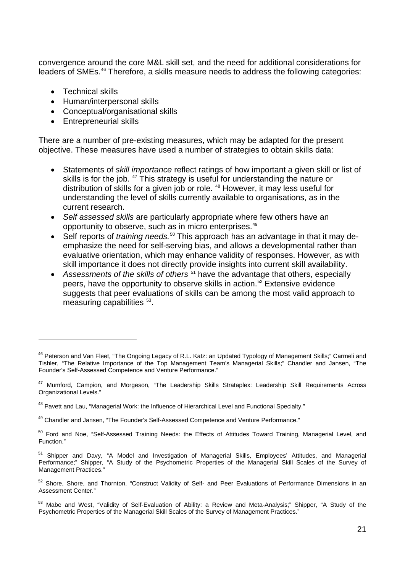convergence around the core M&L skill set, and the need for additional considerations for leaders of SMEs. [46](#page-20-0) Therefore, a skills measure needs to address the following categories:

• Technical skills

 $\overline{a}$ 

- Human/interpersonal skills
- Conceptual/organisational skills
- Entrepreneurial skills

There are a number of pre-existing measures, which may be adapted for the present objective. These measures have used a number of strategies to obtain skills data:

- Statements of *skill importance* reflect ratings of how important a given skill or list of skills is for the job. <sup>[47](#page-20-1)</sup> This strategy is useful for understanding the nature or distribution of skills for a given job or role. [48](#page-20-2) However, it may less useful for understanding the level of skills currently available to organisations, as in the current research.
- *Self assessed skills* are particularly appropriate where few others have an opportunity to observe, such as in micro enterprises.<sup>[49](#page-20-3)</sup>
- Self reports of *training needs.*<sup>[50](#page-20-4)</sup> This approach has an advantage in that it may deemphasize the need for self-serving bias, and allows a developmental rather than evaluative orientation, which may enhance validity of responses. However, as with skill importance it does not directly provide insights into current skill availability.
- Assessments of the skills of others<sup>[51](#page-20-5)</sup> have the advantage that others, especially peers, have the opportunity to observe skills in action. [52](#page-20-6) Extensive evidence suggests that peer evaluations of skills can be among the most valid approach to measuring capabilities <sup>[53](#page-20-7)</sup>.

<span id="page-20-0"></span><sup>&</sup>lt;sup>46</sup> Peterson and Van Fleet, "The Ongoing Legacy of R.L. Katz: an Updated Typology of Management Skills;" Carmeli and Tishler, "The Relative Importance of the Top Management Team's Managerial Skills;" Chandler and Jansen, "The Founder's Self-Assessed Competence and Venture Performance."

<span id="page-20-1"></span><sup>&</sup>lt;sup>47</sup> Mumford, Campion, and Morgeson, "The Leadership Skills Strataplex: Leadership Skill Requirements Across Organizational Levels."

<span id="page-20-2"></span><sup>48</sup> Pavett and Lau, "Managerial Work: the Influence of Hierarchical Level and Functional Specialty."

<span id="page-20-3"></span><sup>49</sup> Chandler and Jansen, "The Founder's Self-Assessed Competence and Venture Performance."

<span id="page-20-4"></span><sup>&</sup>lt;sup>50</sup> Ford and Noe, "Self-Assessed Training Needs: the Effects of Attitudes Toward Training, Managerial Level, and Function."

<span id="page-20-5"></span><sup>51</sup> Shipper and Davy, "A Model and Investigation of Managerial Skills, Employees' Attitudes, and Managerial Performance;" Shipper, "A Study of the Psychometric Properties of the Managerial Skill Scales of the Survey of Management Practices."

<span id="page-20-6"></span><sup>52</sup> Shore, Shore, and Thornton, "Construct Validity of Self- and Peer Evaluations of Performance Dimensions in an Assessment Center."

<span id="page-20-7"></span><sup>53</sup> Mabe and West, "Validity of Self-Evaluation of Ability: a Review and Meta-Analysis;" Shipper, "A Study of the Psychometric Properties of the Managerial Skill Scales of the Survey of Management Practices."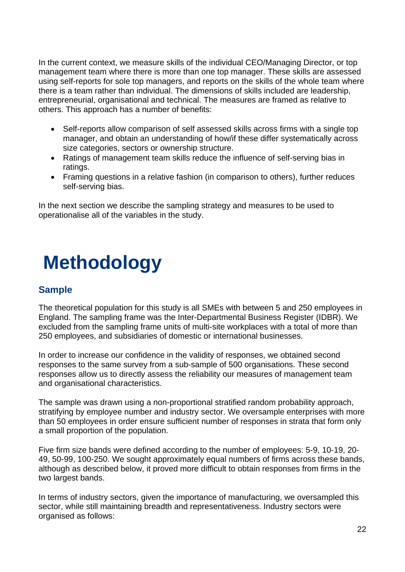In the current context, we measure skills of the individual CEO/Managing Director, or top management team where there is more than one top manager. These skills are assessed using self-reports for sole top managers, and reports on the skills of the whole team where there is a team rather than individual. The dimensions of skills included are leadership, entrepreneurial, organisational and technical. The measures are framed as relative to others. This approach has a number of benefits:

- Self-reports allow comparison of self assessed skills across firms with a single top manager, and obtain an understanding of how/if these differ systematically across size categories, sectors or ownership structure.
- Ratings of management team skills reduce the influence of self-serving bias in ratings.
- Framing questions in a relative fashion (in comparison to others), further reduces self-serving bias.

In the next section we describe the sampling strategy and measures to be used to operationalise all of the variables in the study.

# <span id="page-21-0"></span>**Methodology**

### <span id="page-21-1"></span>**Sample**

The theoretical population for this study is all SMEs with between 5 and 250 employees in England. The sampling frame was the Inter-Departmental Business Register (IDBR). We excluded from the sampling frame units of multi-site workplaces with a total of more than 250 employees, and subsidiaries of domestic or international businesses.

In order to increase our confidence in the validity of responses, we obtained second responses to the same survey from a sub-sample of 500 organisations. These second responses allow us to directly assess the reliability our measures of management team and organisational characteristics.

The sample was drawn using a non-proportional stratified random probability approach, stratifying by employee number and industry sector. We oversample enterprises with more than 50 employees in order ensure sufficient number of responses in strata that form only a small proportion of the population.

Five firm size bands were defined according to the number of employees: 5-9, 10-19, 20- 49, 50-99, 100-250. We sought approximately equal numbers of firms across these bands, although as described below, it proved more difficult to obtain responses from firms in the two largest bands.

In terms of industry sectors, given the importance of manufacturing, we oversampled this sector, while still maintaining breadth and representativeness. Industry sectors were organised as follows: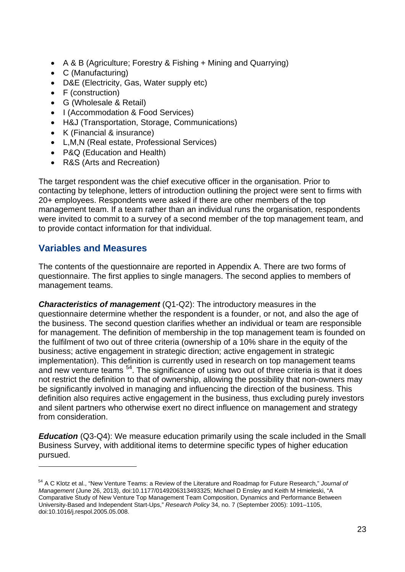- A & B (Agriculture; Forestry & Fishing + Mining and Quarrying)
- C (Manufacturing)
- D&E (Electricity, Gas, Water supply etc)
- F (construction)
- G (Wholesale & Retail)
- I (Accommodation & Food Services)
- H&J (Transportation, Storage, Communications)
- K (Financial & insurance)
- L,M,N (Real estate, Professional Services)
- P&Q (Education and Health)
- R&S (Arts and Recreation)

The target respondent was the chief executive officer in the organisation. Prior to contacting by telephone, letters of introduction outlining the project were sent to firms with 20+ employees. Respondents were asked if there are other members of the top management team. If a team rather than an individual runs the organisation, respondents were invited to commit to a survey of a second member of the top management team, and to provide contact information for that individual.

# <span id="page-22-0"></span>**Variables and Measures**

 $\overline{a}$ 

The contents of the questionnaire are reported in Appendix A. There are two forms of questionnaire. The first applies to single managers. The second applies to members of management teams.

*Characteristics of management* (Q1-Q2): The introductory measures in the questionnaire determine whether the respondent is a founder, or not, and also the age of the business. The second question clarifies whether an individual or team are responsible for management. The definition of membership in the top management team is founded on the fulfilment of two out of three criteria (ownership of a 10% share in the equity of the business; active engagement in strategic direction; active engagement in strategic implementation). This definition is currently used in research on top management teams and new venture teams <sup>[54](#page-22-1)</sup>. The significance of using two out of three criteria is that it does not restrict the definition to that of ownership, allowing the possibility that non-owners may be significantly involved in managing and influencing the direction of the business. This definition also requires active engagement in the business, thus excluding purely investors and silent partners who otherwise exert no direct influence on management and strategy from consideration.

*Education* (Q3-Q4): We measure education primarily using the scale included in the Small Business Survey, with additional items to determine specific types of higher education pursued.

<span id="page-22-1"></span><sup>54</sup> A C Klotz et al., "New Venture Teams: a Review of the Literature and Roadmap for Future Research," *Journal of Management* (June 26, 2013), doi:10.1177/0149206313493325; Michael D Ensley and Keith M Hmieleski, "A Comparative Study of New Venture Top Management Team Composition, Dynamics and Performance Between University-Based and Independent Start-Ups," *Research Policy* 34, no. 7 (September 2005): 1091–1105, doi:10.1016/j.respol.2005.05.008.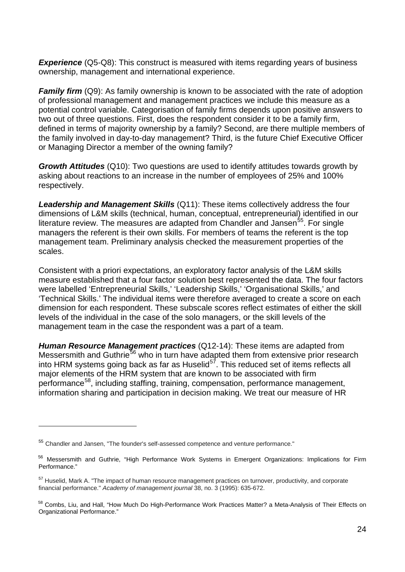**Experience** (Q5-Q8): This construct is measured with items regarding years of business ownership, management and international experience.

*Family firm* (Q9): As family ownership is known to be associated with the rate of adoption of professional management and management practices we include this measure as a potential control variable. Categorisation of family firms depends upon positive answers to two out of three questions. First, does the respondent consider it to be a family firm, defined in terms of majority ownership by a family? Second, are there multiple members of the family involved in day-to-day management? Third, is the future Chief Executive Officer or Managing Director a member of the owning family?

*Growth Attitudes* (Q10): Two questions are used to identify attitudes towards growth by asking about reactions to an increase in the number of employees of 25% and 100% respectively.

*Leadership and Management Skills* (Q11): These items collectively address the four dimensions of L&M skills (technical, human, conceptual, entrepreneurial) identified in our literature review. The measures are adapted from Chandler and Jansen<sup>[55](#page-23-0)</sup>. For single managers the referent is their own skills. For members of teams the referent is the top management team. Preliminary analysis checked the measurement properties of the scales.

Consistent with a priori expectations, an exploratory factor analysis of the L&M skills measure established that a four factor solution best represented the data. The four factors were labelled 'Entrepreneurial Skills,' 'Leadership Skills,' 'Organisational Skills,' and 'Technical Skills.' The individual items were therefore averaged to create a score on each dimension for each respondent. These subscale scores reflect estimates of either the skill levels of the individual in the case of the solo managers, or the skill levels of the management team in the case the respondent was a part of a team.

*Human Resource Management practices* (Q12-14): These items are adapted from Messersmith and Guthrie<sup>[56](#page-23-1)</sup> who in turn have adapted them from extensive prior research into HRM systems going back as far as Huselid $5^7$ . This reduced set of items reflects all major elements of the HRM system that are known to be associated with firm performance<sup>[58](#page-23-3)</sup>, including staffing, training, compensation, performance management, information sharing and participation in decision making. We treat our measure of HR

<span id="page-23-0"></span><sup>55</sup> Chandler and Jansen, "The founder's self-assessed competence and venture performance."

<span id="page-23-1"></span><sup>56</sup> Messersmith and Guthrie, "High Performance Work Systems in Emergent Organizations: Implications for Firm Performance."

<span id="page-23-2"></span><sup>&</sup>lt;sup>57</sup> Huselid. Mark A. "The impact of human resource management practices on turnover, productivity, and corporate financial performance." *Academy of management journal* 38, no. 3 (1995): 635-672.

<span id="page-23-3"></span><sup>&</sup>lt;sup>58</sup> Combs, Liu, and Hall, "How Much Do High-Performance Work Practices Matter? a Meta-Analysis of Their Effects on Organizational Performance."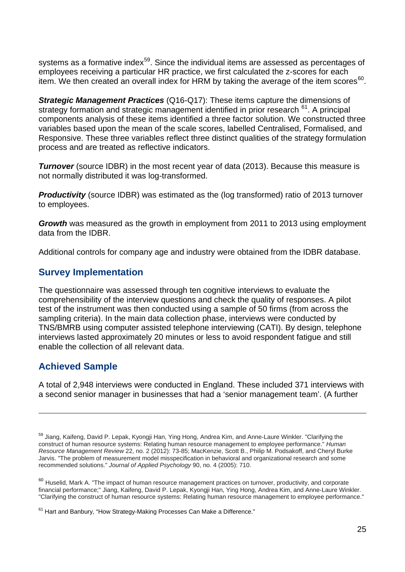systems as a formative index<sup>59</sup>. Since the individual items are assessed as percentages of employees receiving a particular HR practice, we first calculated the z-scores for each item. We then created an overall index for HRM by taking the average of the item scores<sup>[60](#page-24-3)</sup>.

*Strategic Management Practices* (Q16-Q17): These items capture the dimensions of strategy formation and strategic management identified in prior research <sup>[61](#page-24-4)</sup>. A principal components analysis of these items identified a three factor solution. We constructed three variables based upon the mean of the scale scores, labelled Centralised, Formalised, and Responsive. These three variables reflect three distinct qualities of the strategy formulation process and are treated as reflective indicators.

**Turnover** (source IDBR) in the most recent year of data (2013). Because this measure is not normally distributed it was log-transformed.

**Productivity** (source IDBR) was estimated as the (log transformed) ratio of 2013 turnover to employees.

*Growth* was measured as the growth in employment from 2011 to 2013 using employment data from the IDBR.

Additional controls for company age and industry were obtained from the IDBR database.

#### <span id="page-24-0"></span>**Survey Implementation**

The questionnaire was assessed through ten cognitive interviews to evaluate the comprehensibility of the interview questions and check the quality of responses. A pilot test of the instrument was then conducted using a sample of 50 firms (from across the sampling criteria). In the main data collection phase, interviews were conducted by TNS/BMRB using computer assisted telephone interviewing (CATI). By design, telephone interviews lasted approximately 20 minutes or less to avoid respondent fatigue and still enable the collection of all relevant data.

### <span id="page-24-1"></span>**Achieved Sample**

 $\overline{a}$ 

A total of 2,948 interviews were conducted in England. These included 371 interviews with a second senior manager in businesses that had a 'senior management team'. (A further

<span id="page-24-2"></span><sup>59</sup> Jiang, Kaifeng, David P. Lepak, Kyongji Han, Ying Hong, Andrea Kim, and Anne-Laure Winkler. "Clarifying the construct of human resource systems: Relating human resource management to employee performance." *Human Resource Management Review* 22, no. 2 (2012): 73-85; MacKenzie, Scott B., Philip M. Podsakoff, and Cheryl Burke Jarvis. "The problem of measurement model misspecification in behavioral and organizational research and some recommended solutions." *Journal of Applied Psychology* 90, no. 4 (2005): 710.

<span id="page-24-3"></span><sup>&</sup>lt;sup>60</sup> Huselid, Mark A. "The impact of human resource management practices on turnover, productivity, and corporate financial performance;" Jiang, Kaifeng, David P. Lepak, Kyongji Han, Ying Hong, Andrea Kim, and Anne-Laure Winkler. "Clarifying the construct of human resource systems: Relating human resource management to employee performance."

<span id="page-24-4"></span><sup>&</sup>lt;sup>61</sup> Hart and Banbury, "How Strategy-Making Processes Can Make a Difference."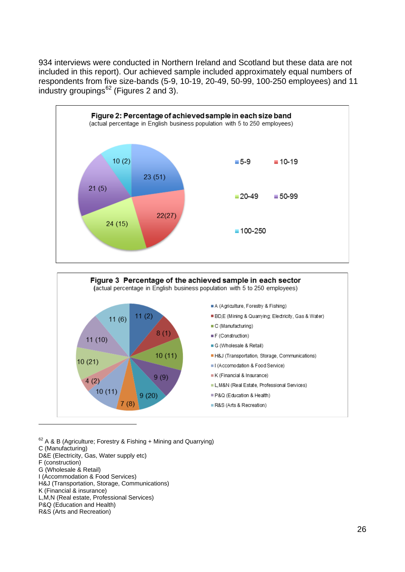934 interviews were conducted in Northern Ireland and Scotland but these data are not included in this report). Our achieved sample included approximately equal numbers of respondents from five size-bands (5-9, 10-19, 20-49, 50-99, 100-250 employees) and 11 industry groupings $62$  (Figures 2 and 3).



<span id="page-25-0"></span> $62$  A & B (Agriculture; Forestry & Fishing + Mining and Quarrying) C (Manufacturing) D&E (Electricity, Gas, Water supply etc) F (construction) G (Wholesale & Retail) I (Accommodation & Food Services) H&J (Transportation, Storage, Communications) K (Financial & insurance) L,M,N (Real estate, Professional Services)

P&Q (Education and Health) R&S (Arts and Recreation)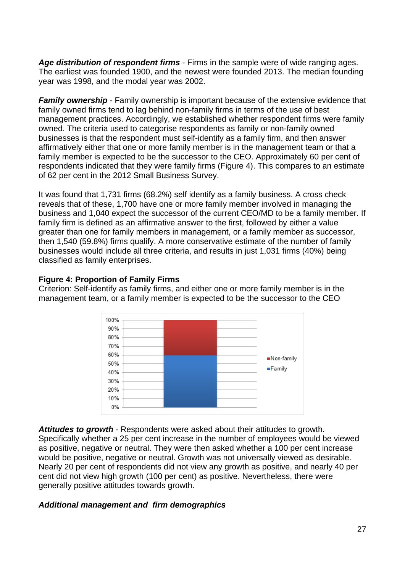*Age distribution of respondent firms* - Firms in the sample were of wide ranging ages. The earliest was founded 1900, and the newest were founded 2013. The median founding year was 1998, and the modal year was 2002.

*Family ownership* - Family ownership is important because of the extensive evidence that family owned firms tend to lag behind non-family firms in terms of the use of best management practices. Accordingly, we established whether respondent firms were family owned. The criteria used to categorise respondents as family or non-family owned businesses is that the respondent must self-identify as a family firm, and then answer affirmatively either that one or more family member is in the management team or that a family member is expected to be the successor to the CEO. Approximately 60 per cent of respondents indicated that they were family firms (Figure 4). This compares to an estimate of 62 per cent in the 2012 Small Business Survey.

It was found that 1,731 firms (68.2%) self identify as a family business. A cross check reveals that of these, 1,700 have one or more family member involved in managing the business and 1,040 expect the successor of the current CEO/MD to be a family member. If family firm is defined as an affirmative answer to the first, followed by either a value greater than one for family members in management, or a family member as successor, then 1,540 (59.8%) firms qualify. A more conservative estimate of the number of family businesses would include all three criteria, and results in just 1,031 firms (40%) being classified as family enterprises.

#### **Figure 4: Proportion of Family Firms**

Criterion: Self-identify as family firms, and either one or more family member is in the management team, or a family member is expected to be the successor to the CEO



*Attitudes to growth* - Respondents were asked about their attitudes to growth. Specifically whether a 25 per cent increase in the number of employees would be viewed as positive, negative or neutral. They were then asked whether a 100 per cent increase would be positive, negative or neutral. Growth was not universally viewed as desirable. Nearly 20 per cent of respondents did not view any growth as positive, and nearly 40 per cent did not view high growth (100 per cent) as positive. Nevertheless, there were generally positive attitudes towards growth.

#### *Additional management and firm demographics*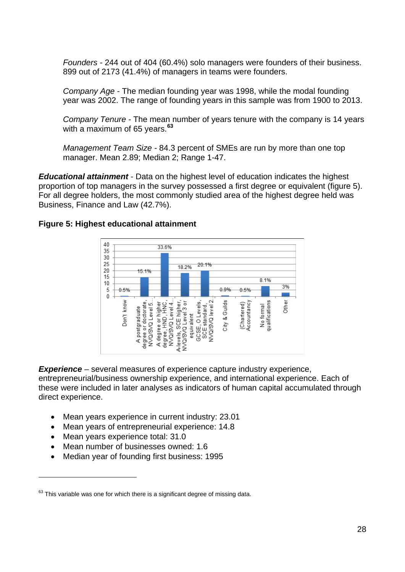*Founders -* 244 out of 404 (60.4%) solo managers were founders of their business. 899 out of 2173 (41.4%) of managers in teams were founders.

*Company Age -* The median founding year was 1998, while the modal founding year was 2002. The range of founding years in this sample was from 1900 to 2013.

*Company Tenure -* The mean number of years tenure with the company is 14 years with a maximum of 65 years.**[63](#page-27-0)**

*Management Team Size -* 84.3 percent of SMEs are run by more than one top manager. Mean 2.89; Median 2; Range 1-47.

*Educational attainment* - Data on the highest level of education indicates the highest proportion of top managers in the survey possessed a first degree or equivalent (figure 5). For all degree holders, the most commonly studied area of the highest degree held was Business, Finance and Law (42.7%).

#### **Figure 5: Highest educational attainment**



*Experience –* several measures of experience capture industry experience, entrepreneurial/business ownership experience, and international experience. Each of these were included in later analyses as indicators of human capital accumulated through direct experience.

- Mean years experience in current industry: 23.01
- Mean years of entrepreneurial experience: 14.8
- Mean years experience total: 31.0

- Mean number of businesses owned: 1.6
- Median year of founding first business: 1995

<span id="page-27-0"></span> $63$  This variable was one for which there is a significant degree of missing data.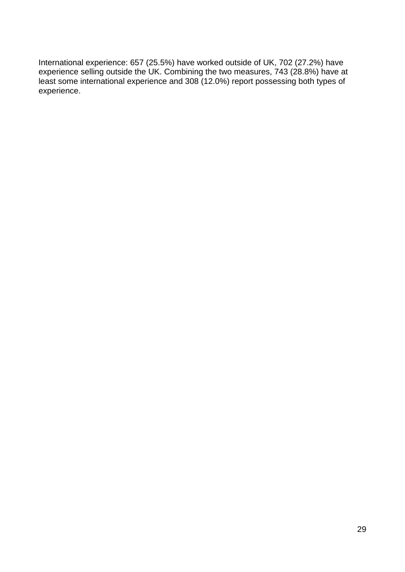International experience: 657 (25.5%) have worked outside of UK, 702 (27.2%) have experience selling outside the UK. Combining the two measures, 743 (28.8%) have at least some international experience and 308 (12.0%) report possessing both types of experience.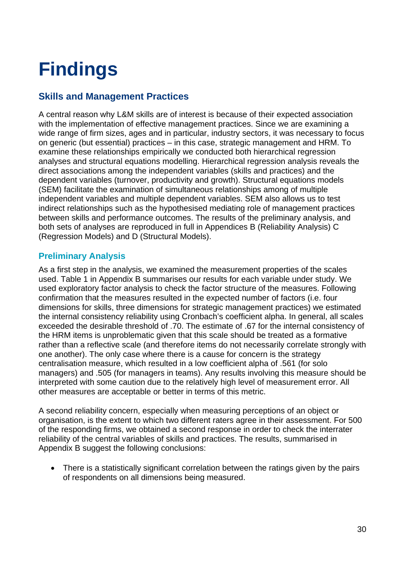# <span id="page-29-0"></span>**Findings**

# <span id="page-29-1"></span>**Skills and Management Practices**

A central reason why L&M skills are of interest is because of their expected association with the implementation of effective management practices. Since we are examining a wide range of firm sizes, ages and in particular, industry sectors, it was necessary to focus on generic (but essential) practices – in this case, strategic management and HRM. To examine these relationships empirically we conducted both hierarchical regression analyses and structural equations modelling. Hierarchical regression analysis reveals the direct associations among the independent variables (skills and practices) and the dependent variables (turnover, productivity and growth). Structural equations models (SEM) facilitate the examination of simultaneous relationships among of multiple independent variables and multiple dependent variables. SEM also allows us to test indirect relationships such as the hypothesised mediating role of management practices between skills and performance outcomes. The results of the preliminary analysis, and both sets of analyses are reproduced in full in Appendices B (Reliability Analysis) C (Regression Models) and D (Structural Models).

#### <span id="page-29-2"></span>**Preliminary Analysis**

As a first step in the analysis, we examined the measurement properties of the scales used. Table 1 in Appendix B summarises our results for each variable under study. We used exploratory factor analysis to check the factor structure of the measures. Following confirmation that the measures resulted in the expected number of factors (i.e. four dimensions for skills, three dimensions for strategic management practices) we estimated the internal consistency reliability using Cronbach's coefficient alpha. In general, all scales exceeded the desirable threshold of .70. The estimate of .67 for the internal consistency of the HRM items is unproblematic given that this scale should be treated as a formative rather than a reflective scale (and therefore items do not necessarily correlate strongly with one another). The only case where there is a cause for concern is the strategy centralisation measure, which resulted in a low coefficient alpha of .561 (for solo managers) and .505 (for managers in teams). Any results involving this measure should be interpreted with some caution due to the relatively high level of measurement error. All other measures are acceptable or better in terms of this metric.

A second reliability concern, especially when measuring perceptions of an object or organisation, is the extent to which two different raters agree in their assessment. For 500 of the responding firms, we obtained a second response in order to check the interrater reliability of the central variables of skills and practices. The results, summarised in Appendix B suggest the following conclusions:

• There is a statistically significant correlation between the ratings given by the pairs of respondents on all dimensions being measured.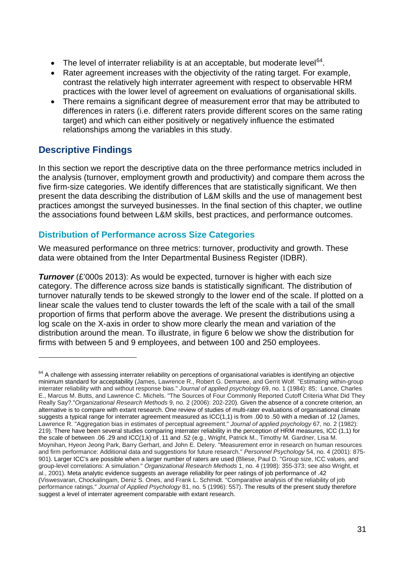- The level of interrater reliability is at an acceptable, but moderate level $64$ .
- Rater agreement increases with the objectivity of the rating target. For example, contrast the relatively high interrater agreement with respect to observable HRM practices with the lower level of agreement on evaluations of organisational skills.
- There remains a significant degree of measurement error that may be attributed to differences in raters (i.e. different raters provide different scores on the same rating target) and which can either positively or negatively influence the estimated relationships among the variables in this study.

# <span id="page-30-0"></span>**Descriptive Findings**

 $\overline{a}$ 

In this section we report the descriptive data on the three performance metrics included in the analysis (turnover, employment growth and productivity) and compare them across the five firm-size categories. We identify differences that are statistically significant. We then present the data describing the distribution of L&M skills and the use of management best practices amongst the surveyed businesses. In the final section of this chapter, we outline the associations found between L&M skills, best practices, and performance outcomes.

#### <span id="page-30-1"></span>**Distribution of Performance across Size Categories**

We measured performance on three metrics: turnover, productivity and growth. These data were obtained from the Inter Departmental Business Register (IDBR).

*Turnover* (£'000s 2013): As would be expected, turnover is higher with each size category. The difference across size bands is statistically significant. The distribution of turnover naturally tends to be skewed strongly to the lower end of the scale. If plotted on a linear scale the values tend to cluster towards the left of the scale with a tail of the small proportion of firms that perform above the average. We present the distributions using a log scale on the X-axis in order to show more clearly the mean and variation of the distribution around the mean. To illustrate, in figure 6 below we show the distribution for firms with between 5 and 9 employees, and between 100 and 250 employees.

<span id="page-30-2"></span><sup>&</sup>lt;sup>64</sup> A challenge with assessing interrater reliability on perceptions of organisational variables is identifying an objective minimum standard for acceptability (James, Lawrence R., Robert G. Demaree, and Gerrit Wolf. "Estimating within-group interrater reliability with and without response bias." *Journal of applied psychology* 69, no. 1 (1984): 85; Lance, Charles E., Marcus M. Butts, and Lawrence C. Michels. "The Sources of Four Commonly Reported Cutoff Criteria What Did They Really Say?."*Organizational Research Methods* 9, no. 2 (2006): 202-220). Given the absence of a concrete criterion, an alternative is to compare with extant research. One review of studies of multi-rater evaluations of organisational climate suggests a typical range for interrater agreement measured as ICC(1,1) is from .00 to .50 with a median of .12 (James, Lawrence R. "Aggregation bias in estimates of perceptual agreement." *Journal of applied psychology* 67, no. 2 (1982): 219). There have been several studies comparing interrater reliability in the perception of HRM measures, ICC (1,1) for the scale of between .06 .29 and ICC(1,k) of .11 and .52 (e.g., Wright, Patrick M., Timothy M. Gardner, Lisa M. Moynihan, Hyeon Jeong Park, Barry Gerhart, and John E. Delery. "Measurement error in research on human resources and firm performance: Additional data and suggestions for future research." *Personnel Psychology* 54, no. 4 (2001): 875- 901). Larger ICC's are possible when a larger number of raters are used (Bliese, Paul D. "Group size, ICC values, and group-level correlations: A simulation." *Organizational Research Methods* 1, no. 4 (1998): 355-373; see also Wright, et al., 2001). Meta analytic evidence suggests an average reliability for peer ratings of job performance of .42 (Viswesvaran, Chockalingam, Deniz S. Ones, and Frank L. Schmidt. "Comparative analysis of the reliability of job performance ratings." *Journal of Applied Psychology* 81, no. 5 (1996): 557). The results of the present study therefore suggest a level of interrater agreement comparable with extant research.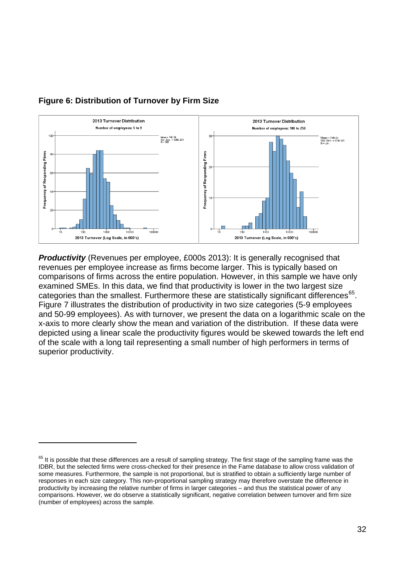

#### **Figure 6: Distribution of Turnover by Firm Size**

 $\overline{a}$ 

*Productivity* (Revenues per employee, £000s 2013): It is generally recognised that revenues per employee increase as firms become larger. This is typically based on comparisons of firms across the entire population. However, in this sample we have only examined SMEs. In this data, we find that productivity is lower in the two largest size categories than the smallest. Furthermore these are statistically significant differences<sup>65</sup>. Figure 7 illustrates the distribution of productivity in two size categories (5-9 employees and 50-99 employees). As with turnover, we present the data on a logarithmic scale on the x-axis to more clearly show the mean and variation of the distribution. If these data were depicted using a linear scale the productivity figures would be skewed towards the left end of the scale with a long tail representing a small number of high performers in terms of superior productivity.

<span id="page-31-0"></span> $65$  It is possible that these differences are a result of sampling strategy. The first stage of the sampling frame was the IDBR, but the selected firms were cross-checked for their presence in the Fame database to allow cross validation of some measures. Furthermore, the sample is not proportional, but is stratified to obtain a sufficiently large number of responses in each size category. This non-proportional sampling strategy may therefore overstate the difference in productivity by increasing the relative number of firms in larger categories – and thus the statistical power of any comparisons. However, we do observe a statistically significant, negative correlation between turnover and firm size (number of employees) across the sample.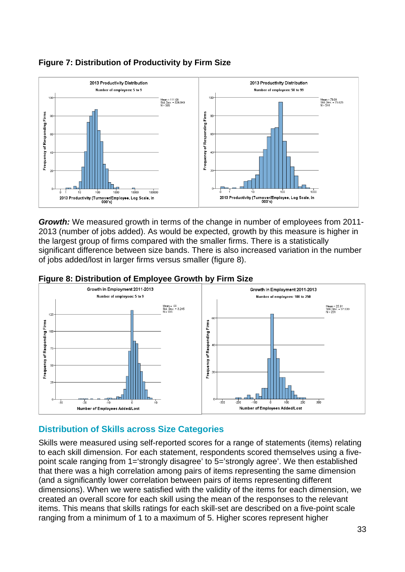

#### **Figure 7: Distribution of Productivity by Firm Size**

*Growth:* We measured growth in terms of the change in number of employees from 2011- 2013 (number of jobs added). As would be expected, growth by this measure is higher in the largest group of firms compared with the smaller firms. There is a statistically significant difference between size bands. There is also increased variation in the number of jobs added/lost in larger firms versus smaller (figure 8).



#### **Figure 8: Distribution of Employee Growth by Firm Size**

#### <span id="page-32-0"></span>**Distribution of Skills across Size Categories**

Skills were measured using self-reported scores for a range of statements (items) relating to each skill dimension. For each statement, respondents scored themselves using a fivepoint scale ranging from 1='strongly disagree' to 5='strongly agree'. We then established that there was a high correlation among pairs of items representing the same dimension (and a significantly lower correlation between pairs of items representing different dimensions). When we were satisfied with the validity of the items for each dimension, we created an overall score for each skill using the mean of the responses to the relevant items. This means that skills ratings for each skill-set are described on a five-point scale ranging from a minimum of 1 to a maximum of 5. Higher scores represent higher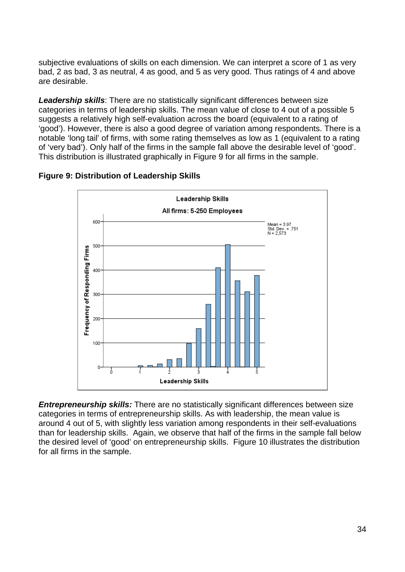subjective evaluations of skills on each dimension. We can interpret a score of 1 as very bad, 2 as bad, 3 as neutral, 4 as good, and 5 as very good. Thus ratings of 4 and above are desirable.

*Leadership skills*: There are no statistically significant differences between size categories in terms of leadership skills. The mean value of close to 4 out of a possible 5 suggests a relatively high self-evaluation across the board (equivalent to a rating of 'good'). However, there is also a good degree of variation among respondents. There is a notable 'long tail' of firms, with some rating themselves as low as 1 (equivalent to a rating of 'very bad'). Only half of the firms in the sample fall above the desirable level of 'good'. This distribution is illustrated graphically in Figure 9 for all firms in the sample.





*Entrepreneurship skills:* There are no statistically significant differences between size categories in terms of entrepreneurship skills. As with leadership, the mean value is around 4 out of 5, with slightly less variation among respondents in their self-evaluations than for leadership skills. Again, we observe that half of the firms in the sample fall below the desired level of 'good' on entrepreneurship skills. Figure 10 illustrates the distribution for all firms in the sample.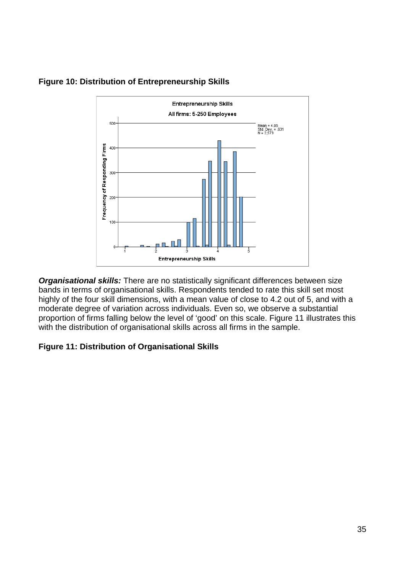

#### **Figure 10: Distribution of Entrepreneurship Skills**

*Organisational skills:* There are no statistically significant differences between size bands in terms of organisational skills. Respondents tended to rate this skill set most highly of the four skill dimensions, with a mean value of close to 4.2 out of 5, and with a moderate degree of variation across individuals. Even so, we observe a substantial proportion of firms falling below the level of 'good' on this scale. Figure 11 illustrates this with the distribution of organisational skills across all firms in the sample.

#### **Figure 11: Distribution of Organisational Skills**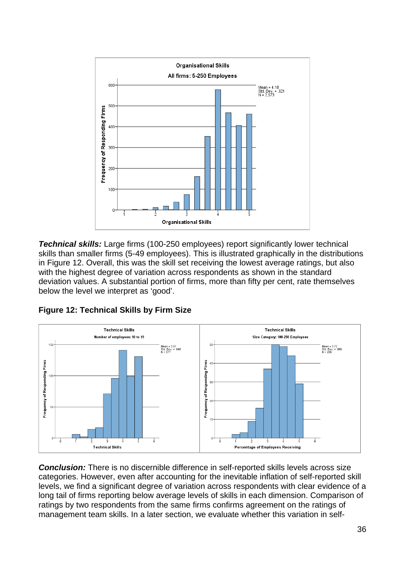

*Technical skills:* Large firms (100-250 employees) report significantly lower technical skills than smaller firms (5-49 employees). This is illustrated graphically in the distributions in Figure 12. Overall, this was the skill set receiving the lowest average ratings, but also with the highest degree of variation across respondents as shown in the standard deviation values. A substantial portion of firms, more than fifty per cent, rate themselves below the level we interpret as 'good'.





*Conclusion:* There is no discernible difference in self-reported skills levels across size categories. However, even after accounting for the inevitable inflation of self-reported skill levels, we find a significant degree of variation across respondents with clear evidence of a long tail of firms reporting below average levels of skills in each dimension. Comparison of ratings by two respondents from the same firms confirms agreement on the ratings of management team skills. In a later section, we evaluate whether this variation in self-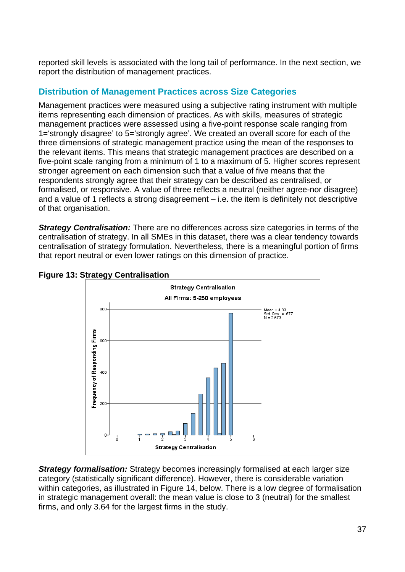reported skill levels is associated with the long tail of performance. In the next section, we report the distribution of management practices.

#### **Distribution of Management Practices across Size Categories**

Management practices were measured using a subjective rating instrument with multiple items representing each dimension of practices. As with skills, measures of strategic management practices were assessed using a five-point response scale ranging from 1='strongly disagree' to 5='strongly agree'. We created an overall score for each of the three dimensions of strategic management practice using the mean of the responses to the relevant items. This means that strategic management practices are described on a five-point scale ranging from a minimum of 1 to a maximum of 5. Higher scores represent stronger agreement on each dimension such that a value of five means that the respondents strongly agree that their strategy can be described as centralised, or formalised, or responsive. A value of three reflects a neutral (neither agree-nor disagree) and a value of 1 reflects a strong disagreement – i.e. the item is definitely not descriptive of that organisation.

*Strategy Centralisation:* There are no differences across size categories in terms of the centralisation of strategy. In all SMEs in this dataset, there was a clear tendency towards centralisation of strategy formulation. Nevertheless, there is a meaningful portion of firms that report neutral or even lower ratings on this dimension of practice.





**Strategy formalisation:** Strategy becomes increasingly formalised at each larger size category (statistically significant difference). However, there is considerable variation within categories, as illustrated in Figure 14, below. There is a low degree of formalisation in strategic management overall: the mean value is close to 3 (neutral) for the smallest firms, and only 3.64 for the largest firms in the study.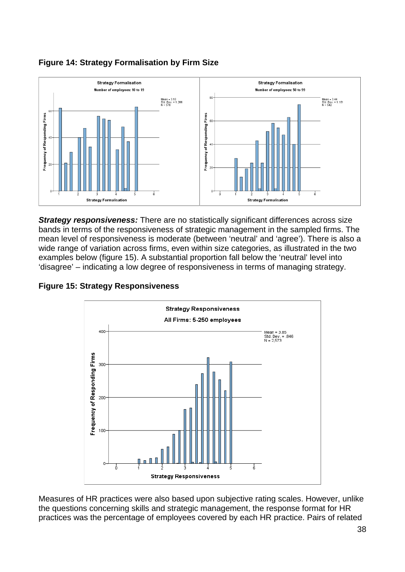

### **Figure 14: Strategy Formalisation by Firm Size**

**Strategy responsiveness:** There are no statistically significant differences across size bands in terms of the responsiveness of strategic management in the sampled firms. The mean level of responsiveness is moderate (between 'neutral' and 'agree'). There is also a wide range of variation across firms, even within size categories, as illustrated in the two examples below (figure 15). A substantial proportion fall below the 'neutral' level into 'disagree' – indicating a low degree of responsiveness in terms of managing strategy.



**Figure 15: Strategy Responsiveness** 

Measures of HR practices were also based upon subjective rating scales. However, unlike the questions concerning skills and strategic management, the response format for HR practices was the percentage of employees covered by each HR practice. Pairs of related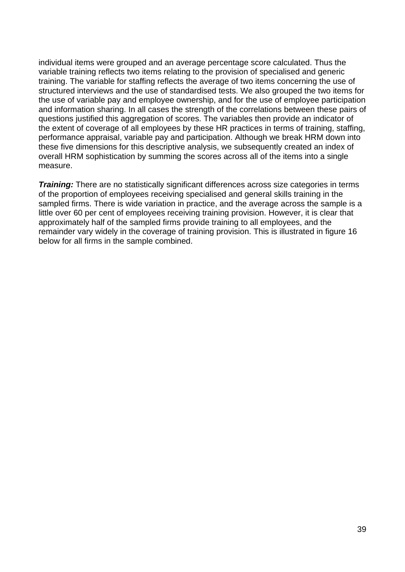individual items were grouped and an average percentage score calculated. Thus the variable training reflects two items relating to the provision of specialised and generic training. The variable for staffing reflects the average of two items concerning the use of structured interviews and the use of standardised tests. We also grouped the two items for the use of variable pay and employee ownership, and for the use of employee participation and information sharing. In all cases the strength of the correlations between these pairs of questions justified this aggregation of scores. The variables then provide an indicator of the extent of coverage of all employees by these HR practices in terms of training, staffing, performance appraisal, variable pay and participation. Although we break HRM down into these five dimensions for this descriptive analysis, we subsequently created an index of overall HRM sophistication by summing the scores across all of the items into a single measure.

*Training:* There are no statistically significant differences across size categories in terms of the proportion of employees receiving specialised and general skills training in the sampled firms. There is wide variation in practice, and the average across the sample is a little over 60 per cent of employees receiving training provision. However, it is clear that approximately half of the sampled firms provide training to all employees, and the remainder vary widely in the coverage of training provision. This is illustrated in figure 16 below for all firms in the sample combined.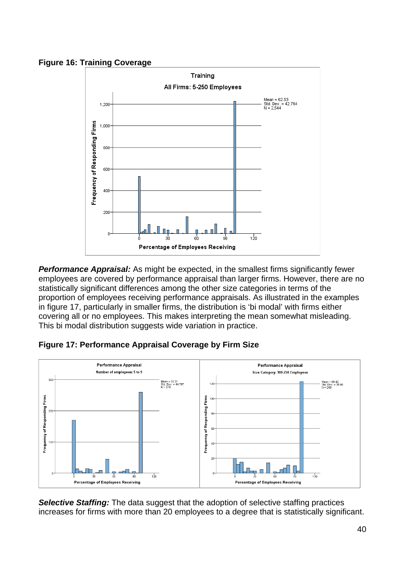**Figure 16: Training Coverage** 



**Performance Appraisal:** As might be expected, in the smallest firms significantly fewer employees are covered by performance appraisal than larger firms. However, there are no statistically significant differences among the other size categories in terms of the proportion of employees receiving performance appraisals. As illustrated in the examples in figure 17, particularly in smaller firms, the distribution is 'bi modal' with firms either covering all or no employees. This makes interpreting the mean somewhat misleading. This bi modal distribution suggests wide variation in practice.





**Selective Staffing:** The data suggest that the adoption of selective staffing practices increases for firms with more than 20 employees to a degree that is statistically significant.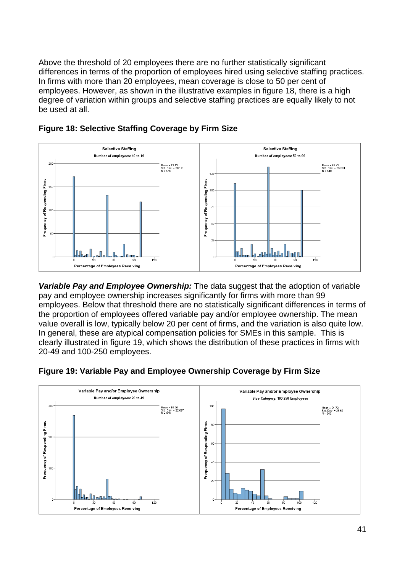Above the threshold of 20 employees there are no further statistically significant differences in terms of the proportion of employees hired using selective staffing practices. In firms with more than 20 employees, mean coverage is close to 50 per cent of employees. However, as shown in the illustrative examples in figure 18, there is a high degree of variation within groups and selective staffing practices are equally likely to not be used at all.





*Variable Pay and Employee Ownership:* The data suggest that the adoption of variable pay and employee ownership increases significantly for firms with more than 99 employees. Below that threshold there are no statistically significant differences in terms of the proportion of employees offered variable pay and/or employee ownership. The mean value overall is low, typically below 20 per cent of firms, and the variation is also quite low. In general, these are atypical compensation policies for SMEs in this sample. This is clearly illustrated in figure 19, which shows the distribution of these practices in firms with 20-49 and 100-250 employees.



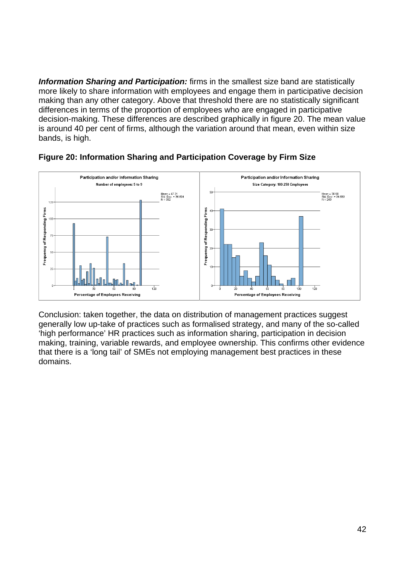*Information Sharing and Participation:* firms in the smallest size band are statistically more likely to share information with employees and engage them in participative decision making than any other category. Above that threshold there are no statistically significant differences in terms of the proportion of employees who are engaged in participative decision-making. These differences are described graphically in figure 20. The mean value is around 40 per cent of firms, although the variation around that mean, even within size bands, is high.



#### **Figure 20: Information Sharing and Participation Coverage by Firm Size**

Conclusion: taken together, the data on distribution of management practices suggest generally low up-take of practices such as formalised strategy, and many of the so-called 'high performance' HR practices such as information sharing, participation in decision making, training, variable rewards, and employee ownership. This confirms other evidence that there is a 'long tail' of SMEs not employing management best practices in these domains.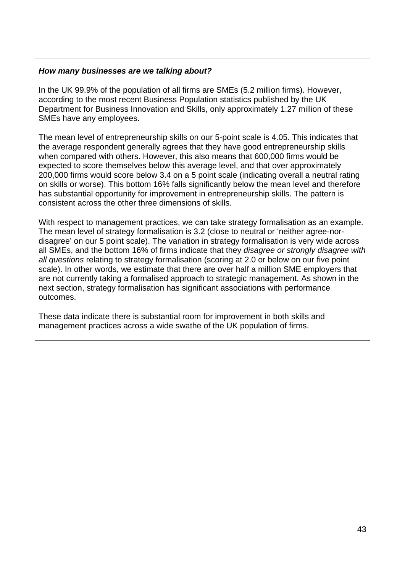#### *How many businesses are we talking about?*

In the UK 99.9% of the population of all firms are SMEs (5.2 million firms). However, according to the most recent Business Population statistics published by the UK Department for Business Innovation and Skills, only approximately 1.27 million of these SMEs have any employees.

The mean level of entrepreneurship skills on our 5-point scale is 4.05. This indicates that the average respondent generally agrees that they have good entrepreneurship skills when compared with others. However, this also means that 600,000 firms would be expected to score themselves below this average level, and that over approximately 200,000 firms would score below 3.4 on a 5 point scale (indicating overall a neutral rating on skills or worse). This bottom 16% falls significantly below the mean level and therefore has substantial opportunity for improvement in entrepreneurship skills. The pattern is consistent across the other three dimensions of skills.

With respect to management practices, we can take strategy formalisation as an example. The mean level of strategy formalisation is 3.2 (close to neutral or 'neither agree-nordisagree' on our 5 point scale). The variation in strategy formalisation is very wide across all SMEs, and the bottom 16% of firms indicate that they *disagree or strongly disagree with all questions* relating to strategy formalisation (scoring at 2.0 or below on our five point scale). In other words, we estimate that there are over half a million SME employers that are not currently taking a formalised approach to strategic management. As shown in the next section, strategy formalisation has significant associations with performance outcomes.

These data indicate there is substantial room for improvement in both skills and management practices across a wide swathe of the UK population of firms.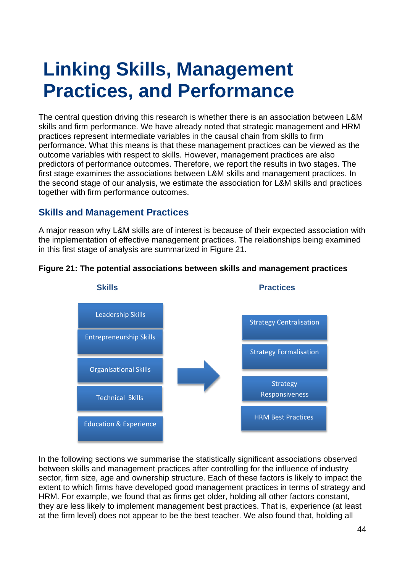## **Linking Skills, Management Practices, and Performance**

The central question driving this research is whether there is an association between L&M skills and firm performance. We have already noted that strategic management and HRM practices represent intermediate variables in the causal chain from skills to firm performance. What this means is that these management practices can be viewed as the outcome variables with respect to skills. However, management practices are also predictors of performance outcomes. Therefore, we report the results in two stages. The first stage examines the associations between L&M skills and management practices. In the second stage of our analysis, we estimate the association for L&M skills and practices together with firm performance outcomes.

#### **Skills and Management Practices**

A major reason why L&M skills are of interest is because of their expected association with the implementation of effective management practices. The relationships being examined in this first stage of analysis are summarized in Figure 21.



#### **Figure 21: The potential associations between skills and management practices**

In the following sections we summarise the statistically significant associations observed between skills and management practices after controlling for the influence of industry sector, firm size, age and ownership structure. Each of these factors is likely to impact the extent to which firms have developed good management practices in terms of strategy and HRM. For example, we found that as firms get older, holding all other factors constant, they are less likely to implement management best practices. That is, experience (at least at the firm level) does not appear to be the best teacher. We also found that, holding all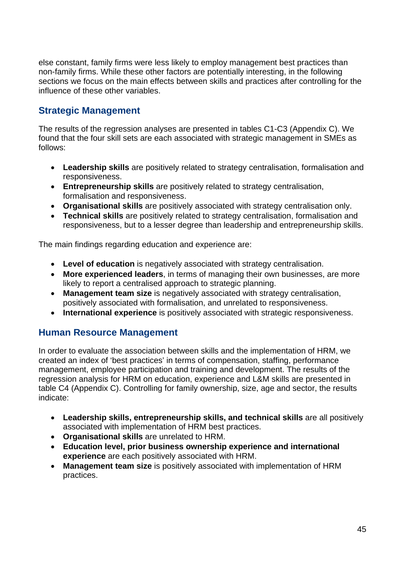else constant, family firms were less likely to employ management best practices than non-family firms. While these other factors are potentially interesting, in the following sections we focus on the main effects between skills and practices after controlling for the influence of these other variables.

#### **Strategic Management**

The results of the regression analyses are presented in tables C1-C3 (Appendix C). We found that the four skill sets are each associated with strategic management in SMEs as follows:

- **Leadership skills** are positively related to strategy centralisation, formalisation and responsiveness.
- **Entrepreneurship skills** are positively related to strategy centralisation, formalisation and responsiveness.
- **Organisational skills** are positively associated with strategy centralisation only.
- **Technical skills** are positively related to strategy centralisation, formalisation and responsiveness, but to a lesser degree than leadership and entrepreneurship skills.

The main findings regarding education and experience are:

- **Level of education** is negatively associated with strategy centralisation.
- **More experienced leaders**, in terms of managing their own businesses, are more likely to report a centralised approach to strategic planning.
- **Management team size** is negatively associated with strategy centralisation, positively associated with formalisation, and unrelated to responsiveness.
- **International experience** is positively associated with strategic responsiveness.

#### **Human Resource Management**

In order to evaluate the association between skills and the implementation of HRM, we created an index of 'best practices' in terms of compensation, staffing, performance management, employee participation and training and development. The results of the regression analysis for HRM on education, experience and L&M skills are presented in table C4 (Appendix C). Controlling for family ownership, size, age and sector, the results indicate:

- **Leadership skills, entrepreneurship skills, and technical skills** are all positively associated with implementation of HRM best practices.
- **Organisational skills** are unrelated to HRM.
- **Education level, prior business ownership experience and international experience** are each positively associated with HRM.
- **Management team size** is positively associated with implementation of HRM practices.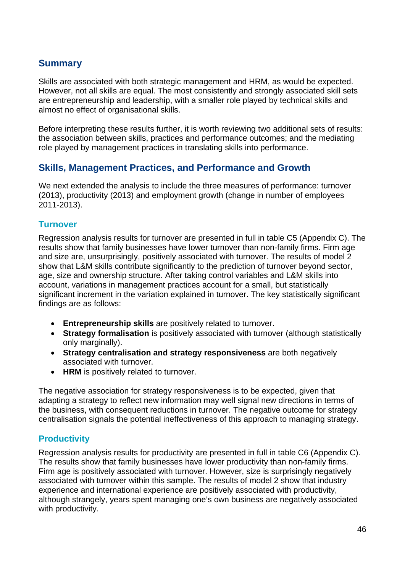#### **Summary**

Skills are associated with both strategic management and HRM, as would be expected. However, not all skills are equal. The most consistently and strongly associated skill sets are entrepreneurship and leadership, with a smaller role played by technical skills and almost no effect of organisational skills.

Before interpreting these results further, it is worth reviewing two additional sets of results: the association between skills, practices and performance outcomes; and the mediating role played by management practices in translating skills into performance.

#### **Skills, Management Practices, and Performance and Growth**

We next extended the analysis to include the three measures of performance: turnover (2013), productivity (2013) and employment growth (change in number of employees 2011-2013).

#### **Turnover**

Regression analysis results for turnover are presented in full in table C5 (Appendix C). The results show that family businesses have lower turnover than non-family firms. Firm age and size are, unsurprisingly, positively associated with turnover. The results of model 2 show that L&M skills contribute significantly to the prediction of turnover beyond sector, age, size and ownership structure. After taking control variables and L&M skills into account, variations in management practices account for a small, but statistically significant increment in the variation explained in turnover. The key statistically significant findings are as follows:

- **Entrepreneurship skills** are positively related to turnover.
- **Strategy formalisation** is positively associated with turnover (although statistically only marginally).
- **Strategy centralisation and strategy responsiveness** are both negatively associated with turnover.
- **HRM** is positively related to turnover.

The negative association for strategy responsiveness is to be expected, given that adapting a strategy to reflect new information may well signal new directions in terms of the business, with consequent reductions in turnover. The negative outcome for strategy centralisation signals the potential ineffectiveness of this approach to managing strategy.

#### **Productivity**

Regression analysis results for productivity are presented in full in table C6 (Appendix C). The results show that family businesses have lower productivity than non-family firms. Firm age is positively associated with turnover. However, size is surprisingly negatively associated with turnover within this sample. The results of model 2 show that industry experience and international experience are positively associated with productivity, although strangely, years spent managing one's own business are negatively associated with productivity.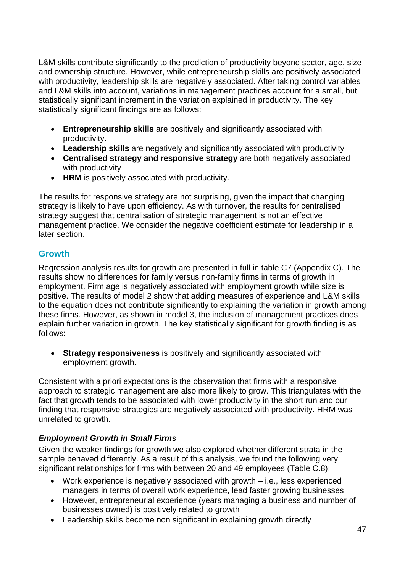L&M skills contribute significantly to the prediction of productivity beyond sector, age, size and ownership structure. However, while entrepreneurship skills are positively associated with productivity, leadership skills are negatively associated. After taking control variables and L&M skills into account, variations in management practices account for a small, but statistically significant increment in the variation explained in productivity. The key statistically significant findings are as follows:

- **Entrepreneurship skills** are positively and significantly associated with productivity.
- **Leadership skills** are negatively and significantly associated with productivity
- **Centralised strategy and responsive strategy** are both negatively associated with productivity
- **HRM** is positively associated with productivity.

The results for responsive strategy are not surprising, given the impact that changing strategy is likely to have upon efficiency. As with turnover, the results for centralised strategy suggest that centralisation of strategic management is not an effective management practice. We consider the negative coefficient estimate for leadership in a later section.

#### **Growth**

Regression analysis results for growth are presented in full in table C7 (Appendix C). The results show no differences for family versus non-family firms in terms of growth in employment. Firm age is negatively associated with employment growth while size is positive. The results of model 2 show that adding measures of experience and L&M skills to the equation does not contribute significantly to explaining the variation in growth among these firms. However, as shown in model 3, the inclusion of management practices does explain further variation in growth. The key statistically significant for growth finding is as follows:

• **Strategy responsiveness** is positively and significantly associated with employment growth.

Consistent with a priori expectations is the observation that firms with a responsive approach to strategic management are also more likely to grow. This triangulates with the fact that growth tends to be associated with lower productivity in the short run and our finding that responsive strategies are negatively associated with productivity. HRM was unrelated to growth.

#### *Employment Growth in Small Firms*

Given the weaker findings for growth we also explored whether different strata in the sample behaved differently. As a result of this analysis, we found the following very significant relationships for firms with between 20 and 49 employees (Table C.8):

- Work experience is negatively associated with growth i.e., less experienced managers in terms of overall work experience, lead faster growing businesses
- However, entrepreneurial experience (years managing a business and number of businesses owned) is positively related to growth
- Leadership skills become non significant in explaining growth directly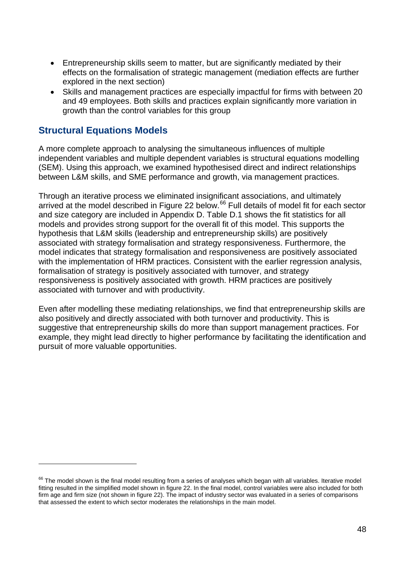- Entrepreneurship skills seem to matter, but are significantly mediated by their effects on the formalisation of strategic management (mediation effects are further explored in the next section)
- Skills and management practices are especially impactful for firms with between 20 and 49 employees. Both skills and practices explain significantly more variation in growth than the control variables for this group

#### **Structural Equations Models**

 $\overline{a}$ 

A more complete approach to analysing the simultaneous influences of multiple independent variables and multiple dependent variables is structural equations modelling (SEM). Using this approach, we examined hypothesised direct and indirect relationships between L&M skills, and SME performance and growth, via management practices.

Through an iterative process we eliminated insignificant associations, and ultimately arrived at the model described in Figure 22 below.<sup>[66](#page-47-0)</sup> Full details of model fit for each sector and size category are included in Appendix D. Table D.1 shows the fit statistics for all models and provides strong support for the overall fit of this model. This supports the hypothesis that L&M skills (leadership and entrepreneurship skills) are positively associated with strategy formalisation and strategy responsiveness. Furthermore, the model indicates that strategy formalisation and responsiveness are positively associated with the implementation of HRM practices. Consistent with the earlier regression analysis, formalisation of strategy is positively associated with turnover, and strategy responsiveness is positively associated with growth. HRM practices are positively associated with turnover and with productivity.

Even after modelling these mediating relationships, we find that entrepreneurship skills are also positively and directly associated with both turnover and productivity. This is suggestive that entrepreneurship skills do more than support management practices. For example, they might lead directly to higher performance by facilitating the identification and pursuit of more valuable opportunities.

<span id="page-47-0"></span><sup>&</sup>lt;sup>66</sup> The model shown is the final model resulting from a series of analyses which began with all variables. Iterative model fitting resulted in the simplified model shown in figure 22. In the final model, control variables were also included for both firm age and firm size (not shown in figure 22). The impact of industry sector was evaluated in a series of comparisons that assessed the extent to which sector moderates the relationships in the main model.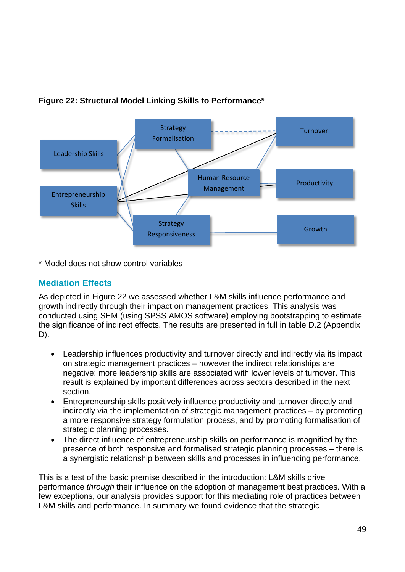

#### **Figure 22: Structural Model Linking Skills to Performance\***

\* Model does not show control variables

#### **Mediation Effects**

As depicted in Figure 22 we assessed whether L&M skills influence performance and growth indirectly through their impact on management practices. This analysis was conducted using SEM (using SPSS AMOS software) employing bootstrapping to estimate the significance of indirect effects. The results are presented in full in table D.2 (Appendix D).

- Leadership influences productivity and turnover directly and indirectly via its impact on strategic management practices – however the indirect relationships are negative: more leadership skills are associated with lower levels of turnover. This result is explained by important differences across sectors described in the next section.
- Entrepreneurship skills positively influence productivity and turnover directly and indirectly via the implementation of strategic management practices – by promoting a more responsive strategy formulation process, and by promoting formalisation of strategic planning processes.
- The direct influence of entrepreneurship skills on performance is magnified by the presence of both responsive and formalised strategic planning processes – there is a synergistic relationship between skills and processes in influencing performance.

This is a test of the basic premise described in the introduction: L&M skills drive performance *through* their influence on the adoption of management best practices. With a few exceptions, our analysis provides support for this mediating role of practices between L&M skills and performance. In summary we found evidence that the strategic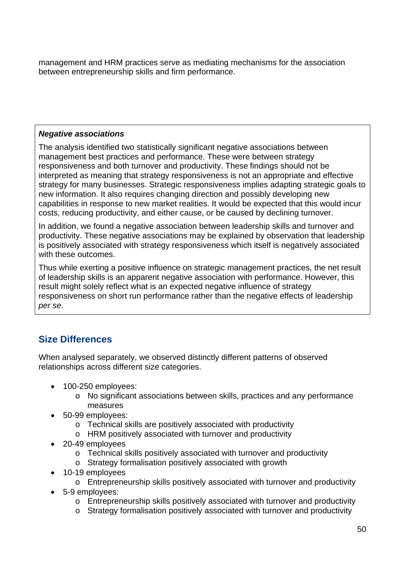management and HRM practices serve as mediating mechanisms for the association between entrepreneurship skills and firm performance.

#### *Negative associations*

The analysis identified two statistically significant negative associations between management best practices and performance. These were between strategy responsiveness and both turnover and productivity. These findings should not be interpreted as meaning that strategy responsiveness is not an appropriate and effective strategy for many businesses. Strategic responsiveness implies adapting strategic goals to new information. It also requires changing direction and possibly developing new capabilities in response to new market realities. It would be expected that this would incur costs, reducing productivity, and either cause, or be caused by declining turnover.

In addition, we found a negative association between leadership skills and turnover and productivity. These negative associations may be explained by observation that leadership is positively associated with strategy responsiveness which itself is negatively associated with these outcomes.

Thus while exerting a positive influence on strategic management practices, the net result of leadership skills is an apparent negative association with performance. However, this result might solely reflect what is an expected negative influence of strategy responsiveness on short run performance rather than the negative effects of leadership *per se*.

#### **Size Differences**

When analysed separately, we observed distinctly different patterns of observed relationships across different size categories.

- 100-250 employees:
	- o No significant associations between skills, practices and any performance measures
- 50-99 employees:
	- o Technical skills are positively associated with productivity
	- o HRM positively associated with turnover and productivity
- 20-49 employees
	- o Technical skills positively associated with turnover and productivity
	- o Strategy formalisation positively associated with growth
- 10-19 employees
	- o Entrepreneurship skills positively associated with turnover and productivity
- 5-9 employees:
	- o Entrepreneurship skills positively associated with turnover and productivity
	- o Strategy formalisation positively associated with turnover and productivity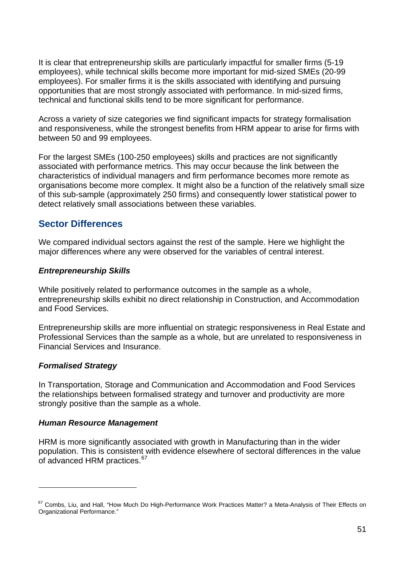It is clear that entrepreneurship skills are particularly impactful for smaller firms (5-19 employees), while technical skills become more important for mid-sized SMEs (20-99 employees). For smaller firms it is the skills associated with identifying and pursuing opportunities that are most strongly associated with performance. In mid-sized firms, technical and functional skills tend to be more significant for performance.

Across a variety of size categories we find significant impacts for strategy formalisation and responsiveness, while the strongest benefits from HRM appear to arise for firms with between 50 and 99 employees.

For the largest SMEs (100-250 employees) skills and practices are not significantly associated with performance metrics. This may occur because the link between the characteristics of individual managers and firm performance becomes more remote as organisations become more complex. It might also be a function of the relatively small size of this sub-sample (approximately 250 firms) and consequently lower statistical power to detect relatively small associations between these variables.

#### **Sector Differences**

We compared individual sectors against the rest of the sample. Here we highlight the major differences where any were observed for the variables of central interest.

#### *Entrepreneurship Skills*

While positively related to performance outcomes in the sample as a whole, entrepreneurship skills exhibit no direct relationship in Construction, and Accommodation and Food Services.

Entrepreneurship skills are more influential on strategic responsiveness in Real Estate and Professional Services than the sample as a whole, but are unrelated to responsiveness in Financial Services and Insurance.

#### *Formalised Strategy*

 $\overline{a}$ 

In Transportation, Storage and Communication and Accommodation and Food Services the relationships between formalised strategy and turnover and productivity are more strongly positive than the sample as a whole.

#### *Human Resource Management*

HRM is more significantly associated with growth in Manufacturing than in the wider population. This is consistent with evidence elsewhere of sectoral differences in the value of advanced HRM practices.<sup>[67](#page-50-0)</sup>

<span id="page-50-0"></span><sup>&</sup>lt;sup>67</sup> Combs, Liu, and Hall, "How Much Do High-Performance Work Practices Matter? a Meta-Analysis of Their Effects on Organizational Performance."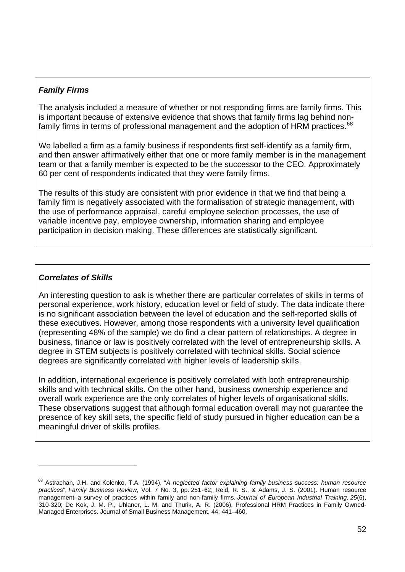#### *Family Firms*

The analysis included a measure of whether or not responding firms are family firms. This is important because of extensive evidence that shows that family firms lag behind nonfamily firms in terms of professional management and the adoption of HRM practices.  $^{68}$  $^{68}$  $^{68}$ 

We labelled a firm as a family business if respondents first self-identify as a family firm, and then answer affirmatively either that one or more family member is in the management team or that a family member is expected to be the successor to the CEO. Approximately 60 per cent of respondents indicated that they were family firms.

The results of this study are consistent with prior evidence in that we find that being a family firm is negatively associated with the formalisation of strategic management, with the use of performance appraisal, careful employee selection processes, the use of variable incentive pay, employee ownership, information sharing and employee participation in decision making. These differences are statistically significant.

#### *Correlates of Skills*

 $\overline{a}$ 

An interesting question to ask is whether there are particular correlates of skills in terms of personal experience, work history, education level or field of study. The data indicate there is no significant association between the level of education and the self-reported skills of these executives. However, among those respondents with a university level qualification (representing 48% of the sample) we do find a clear pattern of relationships. A degree in business, finance or law is positively correlated with the level of entrepreneurship skills. A degree in STEM subjects is positively correlated with technical skills. Social science degrees are significantly correlated with higher levels of leadership skills.

In addition, international experience is positively correlated with both entrepreneurship skills and with technical skills. On the other hand, business ownership experience and overall work experience are the only correlates of higher levels of organisational skills. These observations suggest that although formal education overall may not guarantee the presence of key skill sets, the specific field of study pursued in higher education can be a meaningful driver of skills profiles.

<span id="page-51-0"></span><sup>68</sup> Astrachan, J.H. and Kolenko, T.A. (1994), "*A neglected factor explaining family business success: human resource practices*", *Family Business Review*, Vol. 7 No. 3, pp. 251‐62; Reid, R. S., & Adams, J. S. (2001). Human resource management–a survey of practices within family and non-family firms. *Journal of European Industrial Training*, *25*(6), 310-320; De Kok, J. M. P., Uhlaner, L. M. and Thurik, A. R. (2006), Professional HRM Practices in Family Owned-Managed Enterprises. Journal of Small Business Management, 44: 441–460.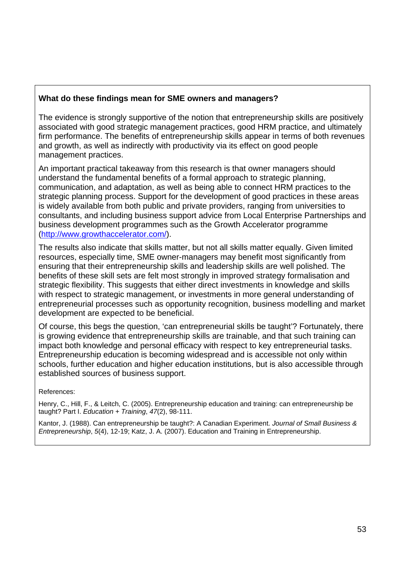#### **What do these findings mean for SME owners and managers?**

The evidence is strongly supportive of the notion that entrepreneurship skills are positively associated with good strategic management practices, good HRM practice, and ultimately firm performance. The benefits of entrepreneurship skills appear in terms of both revenues and growth, as well as indirectly with productivity via its effect on good people management practices.

An important practical takeaway from this research is that owner managers should understand the fundamental benefits of a formal approach to strategic planning, communication, and adaptation, as well as being able to connect HRM practices to the strategic planning process. Support for the development of good practices in these areas is widely available from both public and private providers, ranging from universities to consultants, and including business support advice from Local Enterprise Partnerships and business development programmes such as the Growth Accelerator programme [\(http://www.growthaccelerator.com/\)](http://www.growthaccelerator.com/).

The results also indicate that skills matter, but not all skills matter equally. Given limited resources, especially time, SME owner-managers may benefit most significantly from ensuring that their entrepreneurship skills and leadership skills are well polished. The benefits of these skill sets are felt most strongly in improved strategy formalisation and strategic flexibility. This suggests that either direct investments in knowledge and skills with respect to strategic management, or investments in more general understanding of entrepreneurial processes such as opportunity recognition, business modelling and market development are expected to be beneficial.

Of course, this begs the question, 'can entrepreneurial skills be taught'? Fortunately, there is growing evidence that entrepreneurship skills are trainable, and that such training can impact both knowledge and personal efficacy with respect to key entrepreneurial tasks. Entrepreneurship education is becoming widespread and is accessible not only within schools, further education and higher education institutions, but is also accessible through established sources of business support.

References:

Henry, C., Hill, F., & Leitch, C. (2005). Entrepreneurship education and training: can entrepreneurship be taught? Part I. *Education + Training*, *47*(2), 98-111.

Kantor, J. (1988). Can entrepreneurship be taught?: A Canadian Experiment. *Journal of Small Business & Entrepreneurship*, *5*(4), 12-19; Katz, J. A. (2007). Education and Training in Entrepreneurship.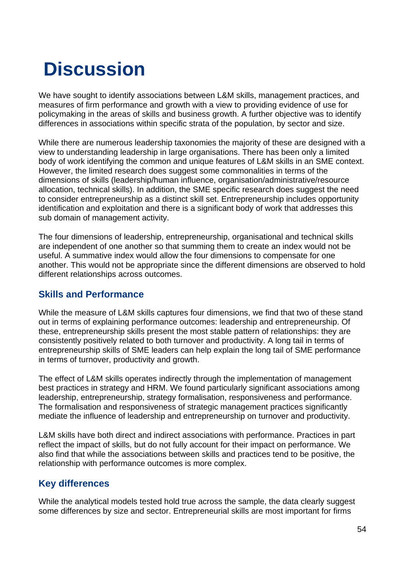# **Discussion**

We have sought to identify associations between L&M skills, management practices, and measures of firm performance and growth with a view to providing evidence of use for policymaking in the areas of skills and business growth. A further objective was to identify differences in associations within specific strata of the population, by sector and size.

While there are numerous leadership taxonomies the majority of these are designed with a view to understanding leadership in large organisations. There has been only a limited body of work identifying the common and unique features of L&M skills in an SME context. However, the limited research does suggest some commonalities in terms of the dimensions of skills (leadership/human influence, organisation/administrative/resource allocation, technical skills). In addition, the SME specific research does suggest the need to consider entrepreneurship as a distinct skill set. Entrepreneurship includes opportunity identification and exploitation and there is a significant body of work that addresses this sub domain of management activity.

The four dimensions of leadership, entrepreneurship, organisational and technical skills are independent of one another so that summing them to create an index would not be useful. A summative index would allow the four dimensions to compensate for one another. This would not be appropriate since the different dimensions are observed to hold different relationships across outcomes.

#### **Skills and Performance**

While the measure of L&M skills captures four dimensions, we find that two of these stand out in terms of explaining performance outcomes: leadership and entrepreneurship. Of these, entrepreneurship skills present the most stable pattern of relationships: they are consistently positively related to both turnover and productivity. A long tail in terms of entrepreneurship skills of SME leaders can help explain the long tail of SME performance in terms of turnover, productivity and growth.

The effect of L&M skills operates indirectly through the implementation of management best practices in strategy and HRM. We found particularly significant associations among leadership, entrepreneurship, strategy formalisation, responsiveness and performance. The formalisation and responsiveness of strategic management practices significantly mediate the influence of leadership and entrepreneurship on turnover and productivity.

L&M skills have both direct and indirect associations with performance. Practices in part reflect the impact of skills, but do not fully account for their impact on performance. We also find that while the associations between skills and practices tend to be positive, the relationship with performance outcomes is more complex.

#### **Key differences**

While the analytical models tested hold true across the sample, the data clearly suggest some differences by size and sector. Entrepreneurial skills are most important for firms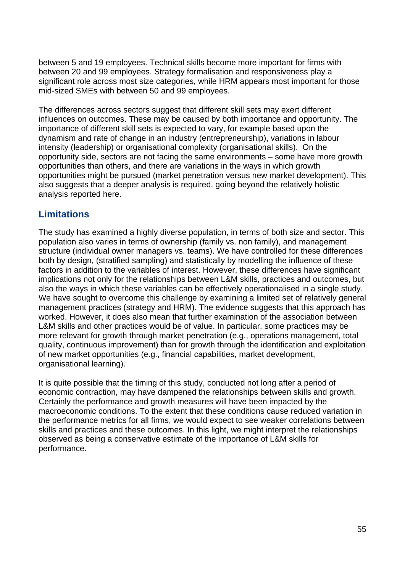between 5 and 19 employees. Technical skills become more important for firms with between 20 and 99 employees. Strategy formalisation and responsiveness play a significant role across most size categories, while HRM appears most important for those mid-sized SMEs with between 50 and 99 employees.

The differences across sectors suggest that different skill sets may exert different influences on outcomes. These may be caused by both importance and opportunity. The importance of different skill sets is expected to vary, for example based upon the dynamism and rate of change in an industry (entrepreneurship), variations in labour intensity (leadership) or organisational complexity (organisational skills). On the opportunity side, sectors are not facing the same environments – some have more growth opportunities than others, and there are variations in the ways in which growth opportunities might be pursued (market penetration versus new market development). This also suggests that a deeper analysis is required, going beyond the relatively holistic analysis reported here.

### **Limitations**

The study has examined a highly diverse population, in terms of both size and sector. This population also varies in terms of ownership (family vs. non family), and management structure (individual owner managers vs. teams). We have controlled for these differences both by design, (stratified sampling) and statistically by modelling the influence of these factors in addition to the variables of interest. However, these differences have significant implications not only for the relationships between L&M skills, practices and outcomes, but also the ways in which these variables can be effectively operationalised in a single study. We have sought to overcome this challenge by examining a limited set of relatively general management practices (strategy and HRM). The evidence suggests that this approach has worked. However, it does also mean that further examination of the association between L&M skills and other practices would be of value. In particular, some practices may be more relevant for growth through market penetration (e.g., operations management, total quality, continuous improvement) than for growth through the identification and exploitation of new market opportunities (e.g., financial capabilities, market development, organisational learning).

It is quite possible that the timing of this study, conducted not long after a period of economic contraction, may have dampened the relationships between skills and growth. Certainly the performance and growth measures will have been impacted by the macroeconomic conditions. To the extent that these conditions cause reduced variation in the performance metrics for all firms, we would expect to see weaker correlations between skills and practices and these outcomes. In this light, we might interpret the relationships observed as being a conservative estimate of the importance of L&M skills for performance.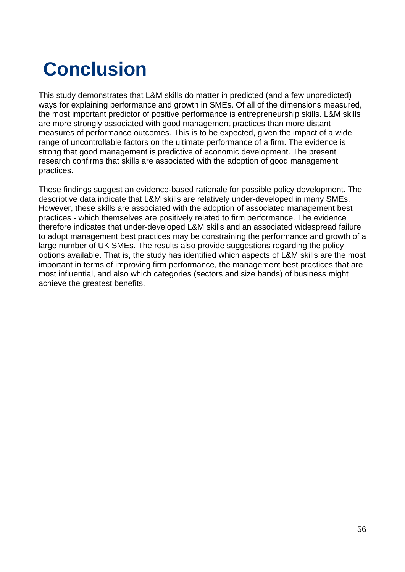# **Conclusion**

This study demonstrates that L&M skills do matter in predicted (and a few unpredicted) ways for explaining performance and growth in SMEs. Of all of the dimensions measured, the most important predictor of positive performance is entrepreneurship skills. L&M skills are more strongly associated with good management practices than more distant measures of performance outcomes. This is to be expected, given the impact of a wide range of uncontrollable factors on the ultimate performance of a firm. The evidence is strong that good management is predictive of economic development. The present research confirms that skills are associated with the adoption of good management practices.

These findings suggest an evidence-based rationale for possible policy development. The descriptive data indicate that L&M skills are relatively under-developed in many SMEs. However, these skills are associated with the adoption of associated management best practices - which themselves are positively related to firm performance. The evidence therefore indicates that under-developed L&M skills and an associated widespread failure to adopt management best practices may be constraining the performance and growth of a large number of UK SMEs. The results also provide suggestions regarding the policy options available. That is, the study has identified which aspects of L&M skills are the most important in terms of improving firm performance, the management best practices that are most influential, and also which categories (sectors and size bands) of business might achieve the greatest benefits.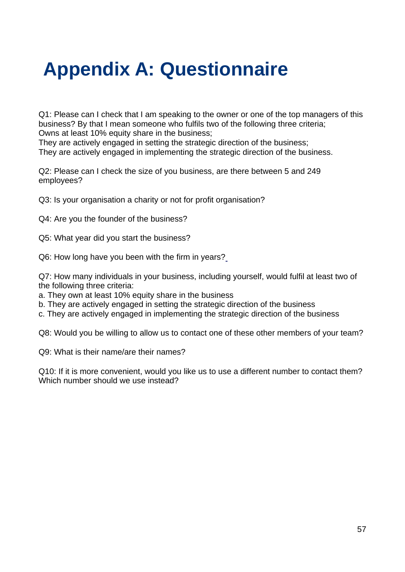# **Appendix A: Questionnaire**

Q1: Please can I check that I am speaking to the owner or one of the top managers of this business? By that I mean someone who fulfils two of the following three criteria; Owns at least 10% equity share in the business;

They are actively engaged in setting the strategic direction of the business; They are actively engaged in implementing the strategic direction of the business.

Q2: Please can I check the size of you business, are there between 5 and 249 employees?

Q3: Is your organisation a charity or not for profit organisation?

Q4: Are you the founder of the business?

Q5: What year did you start the business?

Q6: How long have you been with the firm in years?

Q7: How many individuals in your business, including yourself, would fulfil at least two of the following three criteria:

a. They own at least 10% equity share in the business

b. They are actively engaged in setting the strategic direction of the business

c. They are actively engaged in implementing the strategic direction of the business

Q8: Would you be willing to allow us to contact one of these other members of your team?

Q9: What is their name/are their names?

Q10: If it is more convenient, would you like us to use a different number to contact them? Which number should we use instead?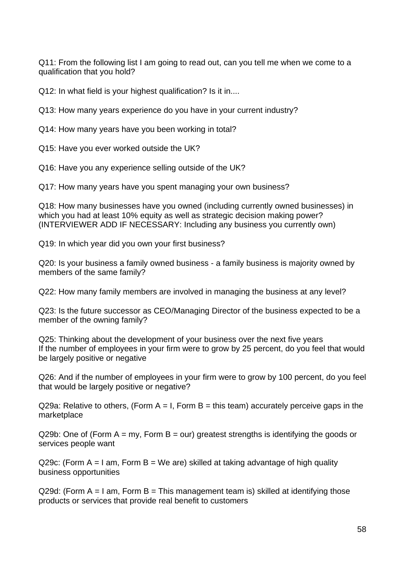Q11: From the following list I am going to read out, can you tell me when we come to a qualification that you hold?

Q12: In what field is your highest qualification? Is it in....

Q13: How many years experience do you have in your current industry?

Q14: How many years have you been working in total?

Q15: Have you ever worked outside the UK?

Q16: Have you any experience selling outside of the UK?

Q17: How many years have you spent managing your own business?

Q18: How many businesses have you owned (including currently owned businesses) in which you had at least 10% equity as well as strategic decision making power? (INTERVIEWER ADD IF NECESSARY: Including any business you currently own)

Q19: In which year did you own your first business?

Q20: Is your business a family owned business - a family business is majority owned by members of the same family?

Q22: How many family members are involved in managing the business at any level?

Q23: Is the future successor as CEO/Managing Director of the business expected to be a member of the owning family?

Q25: Thinking about the development of your business over the next five years If the number of employees in your firm were to grow by 25 percent, do you feel that would be largely positive or negative

Q26: And if the number of employees in your firm were to grow by 100 percent, do you feel that would be largely positive or negative?

 $Q29a$ : Relative to others, (Form A = I, Form B = this team) accurately perceive gaps in the marketplace

Q29b: One of (Form  $A = my$ , Form  $B = our$ ) greatest strengths is identifying the goods or services people want

Q29c: (Form  $A = I$  am, Form  $B = W$ e are) skilled at taking advantage of high quality business opportunities

Q29d: (Form  $A = I$  am, Form  $B = Th$ is management team is) skilled at identifying those products or services that provide real benefit to customers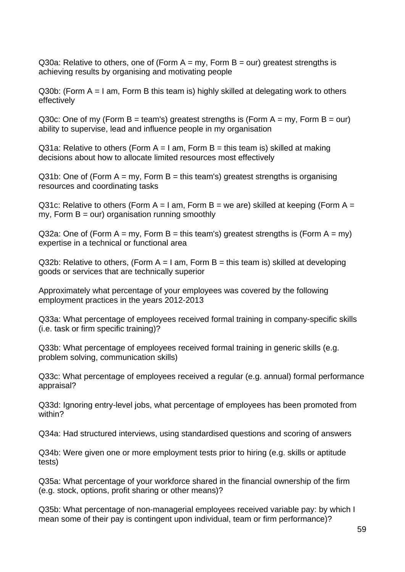Q30a: Relative to others, one of (Form  $A = my$ , Form  $B = our$ ) greatest strengths is achieving results by organising and motivating people

Q30b: (Form A = I am, Form B this team is) highly skilled at delegating work to others effectively

Q30c: One of my (Form B = team's) greatest strengths is (Form A = my, Form B = our) ability to supervise, lead and influence people in my organisation

Q31a: Relative to others (Form  $A = I$  am, Form  $B =$  this team is) skilled at making decisions about how to allocate limited resources most effectively

 $Q31b$ : One of (Form A = mv, Form B = this team's) greatest strengths is organising resources and coordinating tasks

Q31c: Relative to others (Form A = I am, Form B = we are) skilled at keeping (Form A = my, Form  $B = \text{our}$ ) organisation running smoothly

Q32a: One of (Form  $A = my$ , Form  $B = this$  team's) greatest strengths is (Form  $A = my$ ) expertise in a technical or functional area

Q32b: Relative to others, (Form  $A = I$  am, Form  $B =$  this team is) skilled at developing goods or services that are technically superior

Approximately what percentage of your employees was covered by the following employment practices in the years 2012-2013

Q33a: What percentage of employees received formal training in company-specific skills (i.e. task or firm specific training)?

Q33b: What percentage of employees received formal training in generic skills (e.g. problem solving, communication skills)

Q33c: What percentage of employees received a regular (e.g. annual) formal performance appraisal?

Q33d: Ignoring entry-level jobs, what percentage of employees has been promoted from within?

Q34a: Had structured interviews, using standardised questions and scoring of answers

Q34b: Were given one or more employment tests prior to hiring (e.g. skills or aptitude tests)

Q35a: What percentage of your workforce shared in the financial ownership of the firm (e.g. stock, options, profit sharing or other means)?

Q35b: What percentage of non-managerial employees received variable pay: by which I mean some of their pay is contingent upon individual, team or firm performance)?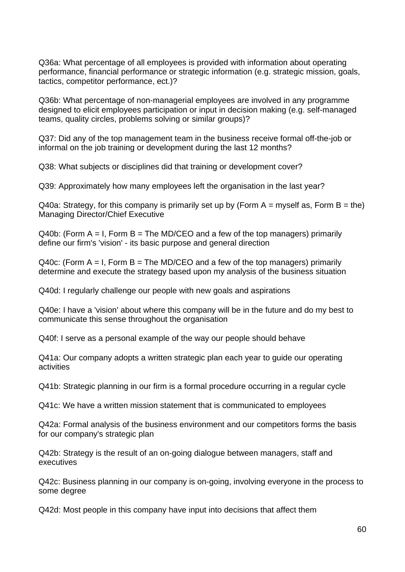Q36a: What percentage of all employees is provided with information about operating performance, financial performance or strategic information (e.g. strategic mission, goals, tactics, competitor performance, ect.)?

Q36b: What percentage of non-managerial employees are involved in any programme designed to elicit employees participation or input in decision making (e.g. self-managed teams, quality circles, problems solving or similar groups)?

Q37: Did any of the top management team in the business receive formal off-the-job or informal on the job training or development during the last 12 months?

Q38: What subjects or disciplines did that training or development cover?

Q39: Approximately how many employees left the organisation in the last year?

 $Q40a$ : Strategy, for this company is primarily set up by (Form A = myself as, Form B = the) Managing Director/Chief Executive

 $Q40b$ : (Form A = I, Form B = The MD/CEO and a few of the top managers) primarily define our firm's 'vision' - its basic purpose and general direction

Q40c: (Form  $A = I$ , Form  $B = The M D/CEO$  and a few of the top managers) primarily determine and execute the strategy based upon my analysis of the business situation

Q40d: I regularly challenge our people with new goals and aspirations

Q40e: I have a 'vision' about where this company will be in the future and do my best to communicate this sense throughout the organisation

Q40f: I serve as a personal example of the way our people should behave

Q41a: Our company adopts a written strategic plan each year to guide our operating activities

Q41b: Strategic planning in our firm is a formal procedure occurring in a regular cycle

Q41c: We have a written mission statement that is communicated to employees

Q42a: Formal analysis of the business environment and our competitors forms the basis for our company's strategic plan

Q42b: Strategy is the result of an on-going dialogue between managers, staff and executives

Q42c: Business planning in our company is on-going, involving everyone in the process to some degree

Q42d: Most people in this company have input into decisions that affect them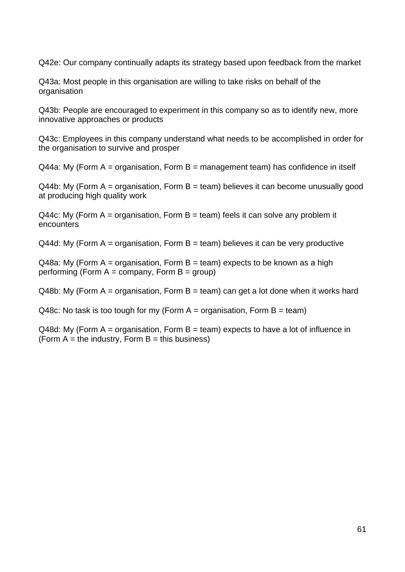Q42e: Our company continually adapts its strategy based upon feedback from the market

Q43a: Most people in this organisation are willing to take risks on behalf of the organisation

Q43b: People are encouraged to experiment in this company so as to identify new, more innovative approaches or products

Q43c: Employees in this company understand what needs to be accomplished in order for the organisation to survive and prosper

 $Q$ 44a: My (Form A = organisation, Form B = management team) has confidence in itself

 $Q44b$ : My (Form A = organisation, Form B = team) believes it can become unusually good at producing high quality work

 $Q$ 44c: My (Form A = organisation, Form B = team) feels it can solve any problem it encounters

 $Q$ 44d: My (Form A = organisation, Form B = team) believes it can be very productive

 $Q48a$ : My (Form A = organisation, Form B = team) expects to be known as a high performing (Form  $A =$  company, Form  $B =$  group)

 $Q48b$ : My (Form A = organisation, Form B = team) can get a lot done when it works hard

Q48c: No task is too tough for my (Form  $A =$  organisation, Form  $B =$  team)

 $Q48d$ : My (Form A = organisation, Form B = team) expects to have a lot of influence in (Form  $A =$  the industry, Form  $B =$  this business)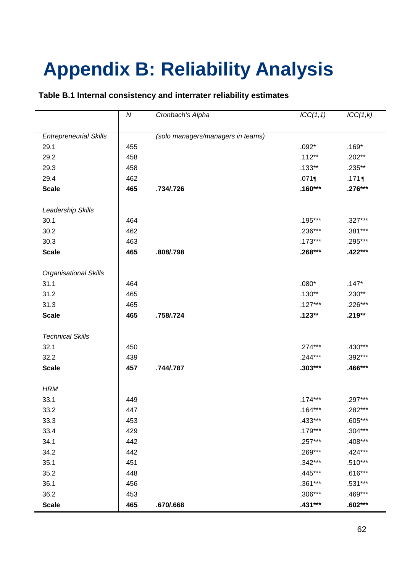# **Appendix B: Reliability Analysis**

#### **Table B.1 Internal consistency and interrater reliability estimates**

|                               | ${\cal N}$ | Cronbach's Alpha                  | ICC(1,1)  | ICC(1,k)  |
|-------------------------------|------------|-----------------------------------|-----------|-----------|
|                               |            |                                   |           |           |
| <b>Entrepreneurial Skills</b> |            | (solo managers/managers in teams) |           |           |
| 29.1                          | 455        |                                   | $.092*$   | $.169*$   |
| 29.2                          | 458        |                                   | $.112**$  | $.202**$  |
| 29.3                          | 458        |                                   | $.133***$ | $.235**$  |
| 29.4                          | 462        |                                   | .071      | $.171$ ¶  |
| <b>Scale</b>                  | 465        | .734/.726                         | $.160***$ | $.276***$ |
|                               |            |                                   |           |           |
| Leadership Skills             |            |                                   |           |           |
| 30.1                          | 464        |                                   | $.195***$ | .327***   |
| 30.2                          | 462        |                                   | .236***   | .381***   |
| 30.3                          | 463        |                                   | $.173***$ | .295***   |
| <b>Scale</b>                  | 465        | .808/.798                         | $.268***$ | .422***   |
| <b>Organisational Skills</b>  |            |                                   |           |           |
| 31.1                          | 464        |                                   | $.080*$   | $.147*$   |
| 31.2                          | 465        |                                   | $.130**$  | $.230**$  |
| 31.3                          | 465        |                                   | $.127***$ | .226***   |
| <b>Scale</b>                  | 465        | .758/.724                         | $.123**$  | $.219**$  |
|                               |            |                                   |           |           |
| <b>Technical Skills</b>       |            |                                   |           |           |
| 32.1                          | 450        |                                   | $.274***$ | $.430***$ |
| 32.2                          | 439        |                                   | $.244***$ | .392***   |
| <b>Scale</b>                  | 457        | .744/.787                         | $.303***$ | .466***   |
| <b>HRM</b>                    |            |                                   |           |           |
| 33.1                          | 449        |                                   | $.174***$ | .297***   |
|                               |            |                                   |           |           |
| 33.2                          | 447        |                                   | $.164***$ | .282***   |
| 33.3                          | 453        |                                   | .433***   | .605***   |
| 33.4                          | 429        |                                   | .179***   | $.304***$ |
| 34.1                          | 442        |                                   | .257***   | .408***   |
| 34.2                          | 442        |                                   | .269***   | .424***   |
| 35.1                          | 451        |                                   | $.342***$ | $.510***$ |
| 35.2                          | 448        |                                   | .445***   | $.616***$ |
| 36.1                          | 456        |                                   | .361***   | $.531***$ |
| 36.2                          | 453        |                                   | $.306***$ | .469***   |
| <b>Scale</b>                  | 465        | .670/.668                         | .431***   | $.602***$ |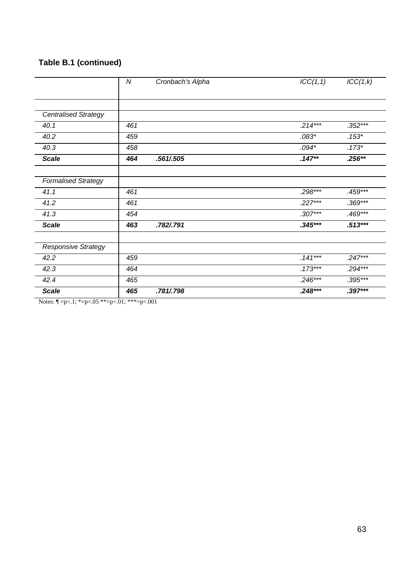#### **Table B.1 (continued)**

|                             | N   | Cronbach's Alpha | ICC(1,1)  | ICC(1,k)  |
|-----------------------------|-----|------------------|-----------|-----------|
|                             |     |                  |           |           |
|                             |     |                  |           |           |
| <b>Centralised Strategy</b> |     |                  |           |           |
| 40.1                        | 461 |                  | $.214***$ | $.352***$ |
| 40.2                        | 459 |                  | $.083*$   | $.153*$   |
| 40.3                        | 458 |                  | $.094*$   | $.173*$   |
| <b>Scale</b>                | 464 | .561/.505        | $.147**$  | $.256**$  |
|                             |     |                  |           |           |
| <b>Formalised Strategy</b>  |     |                  |           |           |
| 41.1                        | 461 |                  | $.298***$ | $.459***$ |
| 41.2                        | 461 |                  | $.227***$ | $.369***$ |
| 41.3                        | 454 |                  | $.307***$ | .469***   |
| <b>Scale</b>                | 463 | .782/.791        | $.345***$ | $.513***$ |
| <b>Responsive Strategy</b>  |     |                  |           |           |
| 42.2                        | 459 |                  | $.141***$ | $.247***$ |
| 42.3                        | 464 |                  | $.173***$ | $.294***$ |
| 42.4                        | 465 |                  | $.246***$ | $.395***$ |
| <b>Scale</b>                | 465 | .781/.798        | $.248***$ | $.397***$ |

Notes:  $\P = p < .1; * = p < .05 * * = p < .01; * * = p < .001$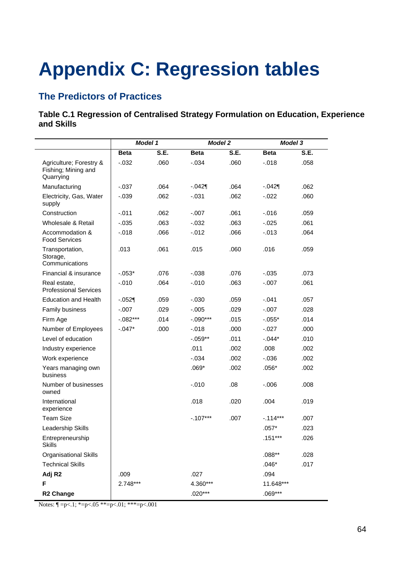# **Appendix C: Regression tables**

## **The Predictors of Practices**

#### **Table C.1 Regression of Centralised Strategy Formulation on Education, Experience and Skills**

|                                                             | Model 1     |      | <b>Model 2</b> |      | <b>Model 3</b> |      |
|-------------------------------------------------------------|-------------|------|----------------|------|----------------|------|
|                                                             | <b>Beta</b> | S.E. | <b>Beta</b>    | S.E. | <b>Beta</b>    | S.E. |
| Agriculture; Forestry &<br>Fishing; Mining and<br>Quarrying | $-.032$     | .060 | $-.034$        | .060 | $-.018$        | .058 |
| Manufacturing                                               | $-.037$     | .064 | $-.042$        | .064 | $-042$         | .062 |
| Electricity, Gas, Water<br>supply                           | $-0.039$    | .062 | $-0.031$       | .062 | $-0.022$       | .060 |
| Construction                                                | $-.011$     | .062 | $-.007$        | .061 | $-0.016$       | .059 |
| Wholesale & Retail                                          | $-0.035$    | .063 | $-0.032$       | .063 | $-0.025$       | .061 |
| Accommodation &<br><b>Food Services</b>                     | $-.018$     | .066 | $-0.012$       | .066 | $-.013$        | .064 |
| Transportation,<br>Storage,<br>Communications               | .013        | .061 | .015           | .060 | .016           | .059 |
| Financial & insurance                                       | $-.053*$    | .076 | $-0.038$       | .076 | $-0.035$       | .073 |
| Real estate,<br><b>Professional Services</b>                | $-.010$     | .064 | $-0.010$       | .063 | $-.007$        | .061 |
| <b>Education and Health</b>                                 | $-.052$     | .059 | $-.030$        | .059 | $-.041$        | .057 |
| Family business                                             | $-.007$     | .029 | $-0.005$       | .029 | $-.007$        | .028 |
| Firm Age                                                    | $-.082***$  | .014 | $-.090***$     | .015 | $-.055*$       | .014 |
| Number of Employees                                         | $-.047*$    | .000 | $-0.018$       | .000 | $-0.027$       | .000 |
| Level of education                                          |             |      | $-.059**$      | .011 | $-0.044*$      | .010 |
| Industry experience                                         |             |      | .011           | .002 | .008           | .002 |
| Work experience                                             |             |      | $-0.034$       | .002 | $-0.036$       | .002 |
| Years managing own<br>business                              |             |      | $.069*$        | .002 | $.056*$        | .002 |
| Number of businesses<br>owned                               |             |      | $-.010$        | .08  | $-0.006$       | .008 |
| International<br>experience                                 |             |      | .018           | .020 | .004           | .019 |
| <b>Team Size</b>                                            |             |      | $-.107***$     | .007 | $-.114***$     | .007 |
| Leadership Skills                                           |             |      |                |      | $.057*$        | .023 |
| Entrepreneurship<br><b>Skills</b>                           |             |      |                |      | $.151***$      | .026 |
| <b>Organisational Skills</b>                                |             |      |                |      | $.088**$       | .028 |
| <b>Technical Skills</b>                                     |             |      |                |      | $.046*$        | .017 |
| Adj R <sub>2</sub>                                          | .009        |      | .027           |      | .094           |      |
| F                                                           | $2.748***$  |      | 4.360***       |      | 11.648***      |      |
| R <sub>2</sub> Change                                       |             |      | $.020***$      |      | $.069***$      |      |

Notes:  $\P = p < 0.1$ ;  $E = p < 0.05$   $E = p < 0.01$ ;  $E = p < 0.001$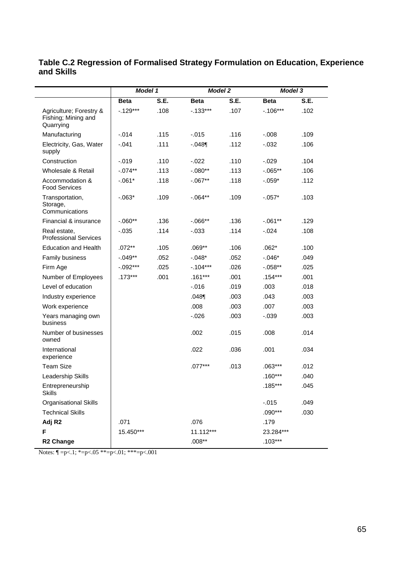|                                                             | Model 1     |      | <b>Model 2</b> |      | <b>Model 3</b> |      |
|-------------------------------------------------------------|-------------|------|----------------|------|----------------|------|
|                                                             | <b>Beta</b> | S.E. | Beta           | S.E. | <b>Beta</b>    | S.E. |
| Agriculture; Forestry &<br>Fishing; Mining and<br>Quarrying | $-.129***$  | .108 | $-0.133***$    | .107 | $-.106***$     | .102 |
| Manufacturing                                               | $-.014$     | .115 | $-0.015$       | .116 | $-.008$        | .109 |
| Electricity, Gas, Water<br>supply                           | $-.041$     | .111 | $-.048$        | .112 | $-.032$        | .106 |
| Construction                                                | $-0.019$    | .110 | $-0.022$       | .110 | $-.029$        | .104 |
| Wholesale & Retail                                          | $-.074**$   | .113 | $-.080**$      | .113 | $-0.065**$     | .106 |
| Accommodation &<br><b>Food Services</b>                     | $-.061*$    | .118 | $-.067**$      | .118 | $-.059*$       | .112 |
| Transportation,<br>Storage,<br>Communications               | $-0.063*$   | .109 | $-0.064**$     | .109 | $-.057*$       | .103 |
| Financial & insurance                                       | $-0.060**$  | .136 | $-0.066**$     | .136 | $-.061**$      | .129 |
| Real estate,<br><b>Professional Services</b>                | $-0.035$    | .114 | $-0.033$       | .114 | $-.024$        | .108 |
| <b>Education and Health</b>                                 | $.072**$    | .105 | $.069**$       | .106 | $.062*$        | .100 |
| Family business                                             | $-.049**$   | .052 | $-.048*$       | .052 | $-.046*$       | .049 |
| Firm Age                                                    | $-.092***$  | .025 | $-.104***$     | .026 | $-0.058**$     | .025 |
| Number of Employees                                         | $.173***$   | .001 | $.161***$      | .001 | $.154***$      | .001 |
| Level of education                                          |             |      | $-0.016$       | .019 | .003           | .018 |
| Industry experience                                         |             |      | .048           | .003 | .043           | .003 |
| Work experience                                             |             |      | .008           | .003 | .007           | .003 |
| Years managing own<br>business                              |             |      | $-0.026$       | .003 | $-0.039$       | .003 |
| Number of businesses<br>owned                               |             |      | .002           | .015 | .008           | .014 |
| International<br>experience                                 |             |      | .022           | .036 | .001           | .034 |
| <b>Team Size</b>                                            |             |      | $.077***$      | .013 | $.063***$      | .012 |
| Leadership Skills                                           |             |      |                |      | $.160***$      | .040 |
| Entrepreneurship<br>Skills                                  |             |      |                |      | $.185***$      | .045 |
| Organisational Skills                                       |             |      |                |      | $-0.015$       | .049 |
| <b>Technical Skills</b>                                     |             |      |                |      | $.090***$      | .030 |
| Adj R <sub>2</sub>                                          | .071        |      | .076           |      | .179           |      |
| F                                                           | 15.450***   |      | 11.112***      |      | 23.284***      |      |
| R <sub>2</sub> Change                                       |             |      | $.008**$       |      | $.103***$      |      |

#### **Table C.2 Regression of Formalised Strategy Formulation on Education, Experience and Skills**

Notes:  $\P = p < 1$ ;  $* = p < .05$   $* = p < .01$ ;  $* * = p < .001$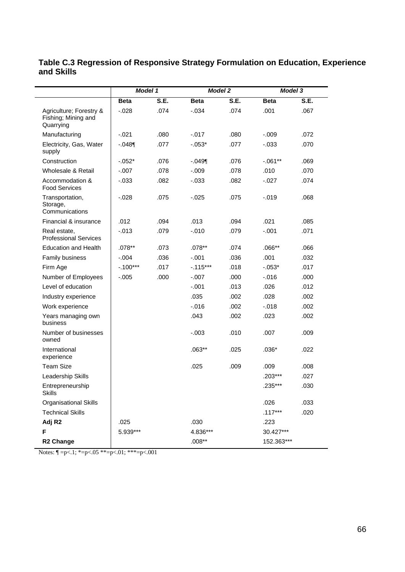|                                                             | Model 1     |      |            | <b>Model 2</b> |             | <b>Model 3</b> |  |
|-------------------------------------------------------------|-------------|------|------------|----------------|-------------|----------------|--|
|                                                             | <b>Beta</b> | S.E. | Beta       | S.E.           | <b>Beta</b> | S.E.           |  |
| Agriculture; Forestry &<br>Fishing; Mining and<br>Quarrying | $-.028$     | .074 | $-.034$    | .074           | .001        | .067           |  |
| Manufacturing                                               | $-.021$     | .080 | $-0.017$   | .080           | $-0.09$     | .072           |  |
| Electricity, Gas, Water<br>supply                           | $-.048$     | .077 | $-.053*$   | .077           | $-0.033$    | .070           |  |
| Construction                                                | $-.052*$    | .076 | $-.049$    | .076           | $-.061**$   | .069           |  |
| Wholesale & Retail                                          | $-.007$     | .078 | $-0.09$    | .078           | .010        | .070           |  |
| Accommodation &<br><b>Food Services</b>                     | $-.033$     | .082 | $-0.033$   | .082           | $-.027$     | .074           |  |
| Transportation,<br>Storage,<br>Communications               | $-.028$     | .075 | $-0.025$   | .075           | $-0.019$    | .068           |  |
| Financial & insurance                                       | .012        | .094 | .013       | .094           | .021        | .085           |  |
| Real estate,<br><b>Professional Services</b>                | $-.013$     | .079 | $-0.010$   | .079           | $-.001$     | .071           |  |
| <b>Education and Health</b>                                 | $.078**$    | .073 | .078**     | .074           | $.066**$    | .066           |  |
| Family business                                             | $-.004$     | .036 | $-.001$    | .036           | .001        | .032           |  |
| Firm Age                                                    | $-.100***$  | .017 | $-.115***$ | .018           | $-.053*$    | .017           |  |
| Number of Employees                                         | $-.005$     | .000 | $-.007$    | .000           | $-0.016$    | .000           |  |
| Level of education                                          |             |      | $-.001$    | .013           | .026        | .012           |  |
| Industry experience                                         |             |      | .035       | .002           | .028        | .002           |  |
| Work experience                                             |             |      | $-0.016$   | .002           | $-.018$     | .002           |  |
| Years managing own<br>business                              |             |      | .043       | .002           | .023        | .002           |  |
| Number of businesses<br>owned                               |             |      | $-.003$    | .010           | .007        | .009           |  |
| International<br>experience                                 |             |      | $.063**$   | .025           | $.036*$     | .022           |  |
| <b>Team Size</b>                                            |             |      | .025       | .009           | .009        | .008           |  |
| Leadership Skills                                           |             |      |            |                | $.203***$   | .027           |  |
| Entrepreneurship<br>Skills                                  |             |      |            |                | .235***     | .030           |  |
| Organisational Skills                                       |             |      |            |                | .026        | .033           |  |
| <b>Technical Skills</b>                                     |             |      |            |                | $.117***$   | .020           |  |
| Adj R <sub>2</sub>                                          | .025        |      | .030       |                | .223        |                |  |
| F                                                           | 5.939***    |      | 4.836***   |                | 30.427***   |                |  |
| R <sub>2</sub> Change                                       |             |      | $.008**$   |                | 152.363***  |                |  |

#### **Table C.3 Regression of Responsive Strategy Formulation on Education, Experience and Skills**

Notes:  $\P = p < 1$ ; \*=p<.05 \*\*=p<.01; \*\*\*=p<.001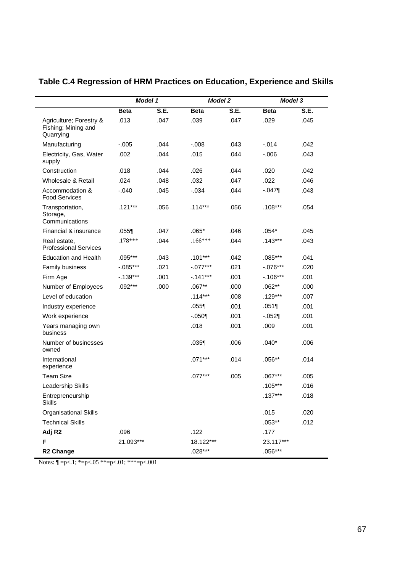|                                                             | Model 1     |      | <b>Model 2</b> |      | <b>Model 3</b> |      |
|-------------------------------------------------------------|-------------|------|----------------|------|----------------|------|
|                                                             | <b>Beta</b> | S.E. | <b>Beta</b>    | S.E. | <b>Beta</b>    | S.E. |
| Agriculture; Forestry &<br>Fishing; Mining and<br>Quarrying | .013        | .047 | .039           | .047 | .029           | .045 |
| Manufacturing                                               | $-.005$     | .044 | $-0.008$       | .043 | $-.014$        | .042 |
| Electricity, Gas, Water<br>supply                           | .002        | .044 | .015           | .044 | $-0.006$       | .043 |
| Construction                                                | .018        | .044 | .026           | .044 | .020           | .042 |
| Wholesale & Retail                                          | .024        | .048 | .032           | .047 | .022           | .046 |
| Accommodation &<br><b>Food Services</b>                     | $-.040$     | .045 | $-0.034$       | .044 | $-.047$        | .043 |
| Transportation,<br>Storage,<br>Communications               | $.121***$   | .056 | $.114***$      | .056 | $.108***$      | .054 |
| Financial & insurance                                       | $.055$ ¶    | .047 | $.065*$        | .046 | $.054*$        | .045 |
| Real estate,<br><b>Professional Services</b>                | $.178***$   | .044 | $.166***$      | .044 | $.143***$      | .043 |
| <b>Education and Health</b>                                 | .095***     | .043 | $.101***$      | .042 | $.085***$      | .041 |
| Family business                                             | $-.085***$  | .021 | $-.077***$     | .021 | $-.076***$     | .020 |
| Firm Age                                                    | $-.139***$  | .001 | $-.141***$     | .001 | $-0.106***$    | .001 |
| Number of Employees                                         | $.092***$   | .000 | $.067***$      | .000 | $.062**$       | .000 |
| Level of education                                          |             |      | $.114***$      | .008 | $.129***$      | .007 |
| Industry experience                                         |             |      | $.055$ ¶       | .001 | .051           | .001 |
| Work experience                                             |             |      | $-.050$        | .001 | $-052$         | .001 |
| Years managing own<br>business                              |             |      | .018           | .001 | .009           | .001 |
| Number of businesses<br>owned                               |             |      | .035           | .006 | $.040*$        | .006 |
| International<br>experience                                 |             |      | $.071***$      | .014 | $.056**$       | .014 |
| <b>Team Size</b>                                            |             |      | $.077***$      | .005 | $.067***$      | .005 |
| Leadership Skills                                           |             |      |                |      | $.105***$      | .016 |
| Entrepreneurship<br><b>Skills</b>                           |             |      |                |      | $.137***$      | .018 |
| <b>Organisational Skills</b>                                |             |      |                |      | .015           | .020 |
| <b>Technical Skills</b>                                     |             |      |                |      | $.053**$       | .012 |
| Adj R <sub>2</sub>                                          | .096        |      | .122           |      | .177           |      |
| F                                                           | 21.093***   |      | 18.122***      |      | 23.117***      |      |
| R <sub>2</sub> Change                                       |             |      | $.028***$      |      | $.056***$      |      |

## **Table C.4 Regression of HRM Practices on Education, Experience and Skills**

Notes: ¶ =p<.1; \*=p<.05 \*\*=p<.01; \*\*\*=p<.001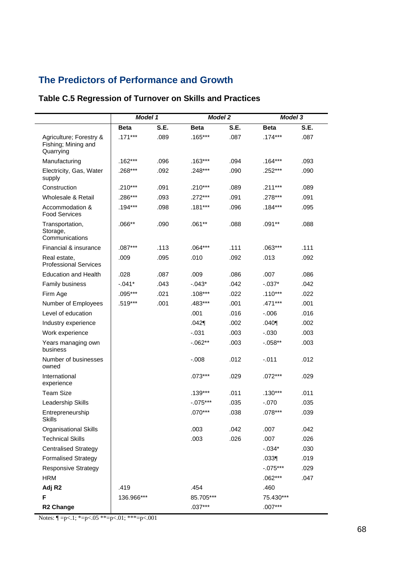### **The Predictors of Performance and Growth**

#### **Table C.5 Regression of Turnover on Skills and Practices**

|                                                             | <b>Model 1</b> |      |             | <b>Model 2</b> |             | <b>Model 3</b> |  |
|-------------------------------------------------------------|----------------|------|-------------|----------------|-------------|----------------|--|
|                                                             | <b>Beta</b>    | S.E. | <b>Beta</b> | S.E.           | <b>Beta</b> | S.E.           |  |
| Agriculture; Forestry &<br>Fishing; Mining and<br>Quarrying | $.171***$      | .089 | $.165***$   | .087           | $.174***$   | .087           |  |
| Manufacturing                                               | .162***        | .096 | $.163***$   | .094           | $.164***$   | .093           |  |
| Electricity, Gas, Water<br>supply                           | .268***        | .092 | .248***     | .090           | .252***     | .090           |  |
| Construction                                                | $.210***$      | .091 | $.210***$   | .089           | $.211***$   | .089           |  |
| Wholesale & Retail                                          | .286***        | .093 | $.272***$   | .091           | .278***     | .091           |  |
| Accommodation &<br><b>Food Services</b>                     | $.194***$      | .098 | $.181***$   | .096           | $.184***$   | .095           |  |
| Transportation,<br>Storage,<br>Communications               | $.066**$       | .090 | $.061**$    | .088           | $.091**$    | .088           |  |
| Financial & insurance                                       | $.087***$      | .113 | $.064***$   | .111           | $.063***$   | .111           |  |
| Real estate,<br><b>Professional Services</b>                | .009           | .095 | .010        | .092           | .013        | .092           |  |
| <b>Education and Health</b>                                 | .028           | .087 | .009        | .086           | .007        | .086           |  |
| Family business                                             | $-.041*$       | .043 | $-.043*$    | .042           | $-.037*$    | .042           |  |
| Firm Age                                                    | .095***        | .021 | $.108***$   | .022           | $.110***$   | .022           |  |
| Number of Employees                                         | .519***        | .001 | .483***     | .001           | .471***     | .001           |  |
| Level of education                                          |                |      | .001        | .016           | $-0.006$    | .016           |  |
| Industry experience                                         |                |      | .042        | .002           | .040        | .002           |  |
| Work experience                                             |                |      | $-0.031$    | .003           | $-0.030$    | .003           |  |
| Years managing own<br>business                              |                |      | $-.062**$   | .003           | $-0.058**$  | .003           |  |
| Number of businesses<br>owned                               |                |      | $-.008$     | .012           | $-0.011$    | .012           |  |
| International<br>experience                                 |                |      | $.073***$   | .029           | $.072***$   | .029           |  |
| <b>Team Size</b>                                            |                |      | $.139***$   | .011           | $.130***$   | .011           |  |
| Leadership Skills                                           |                |      | $-0.075***$ | .035           | $-.070$     | .035           |  |
| Entrepreneurship<br><b>Skills</b>                           |                |      | $.070***$   | .038           | $.078***$   | .039           |  |
| <b>Organisational Skills</b>                                |                |      | .003        | .042           | .007        | .042           |  |
| <b>Technical Skills</b>                                     |                |      | .003        | .026           | .007        | .026           |  |
| <b>Centralised Strategy</b>                                 |                |      |             |                | $-.034*$    | .030           |  |
| <b>Formalised Strategy</b>                                  |                |      |             |                | .033        | .019           |  |
| <b>Responsive Strategy</b>                                  |                |      |             |                | $-.075***$  | .029           |  |
| <b>HRM</b>                                                  |                |      |             |                | $.062***$   | .047           |  |
| Adj R <sub>2</sub>                                          | .419           |      | .454        |                | .460        |                |  |
| F                                                           | 136.966***     |      | 85.705***   |                | 75.430***   |                |  |
| <b>R2 Change</b>                                            |                |      | $.037***$   |                | $.007***$   |                |  |

Notes:  $\P = p < 0.1$ ; \*=p<.05 \*\*=p<.01; \*\*\*=p<.001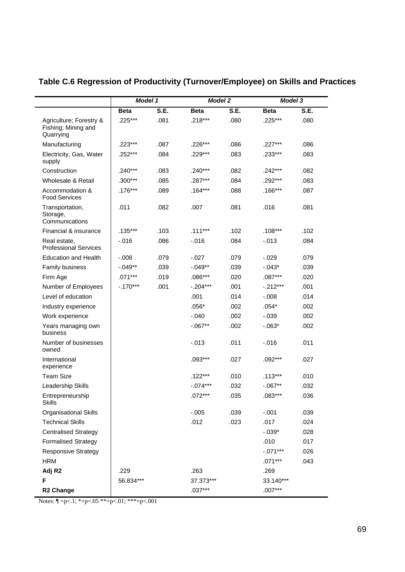|                                                             | <b>Model 1</b> |      |             | <b>Model 2</b> |             | <b>Model 3</b> |
|-------------------------------------------------------------|----------------|------|-------------|----------------|-------------|----------------|
|                                                             | <b>Beta</b>    | S.E. | <b>Beta</b> | S.E.           | <b>Beta</b> | S.E.           |
| Agriculture; Forestry &<br>Fishing; Mining and<br>Quarrying | .225***        | .081 | $.218***$   | .080           | .225***     | .080           |
| Manufacturing                                               | .223***        | .087 | .226***     | .086           | $.227***$   | .086           |
| Electricity, Gas, Water<br>supply                           | $.252***$      | .084 | $.229***$   | .083           | $.233***$   | .083           |
| Construction                                                | $.240***$      | .083 | $.240***$   | .082           | $.242***$   | .082           |
| Wholesale & Retail                                          | $.300***$      | .085 | $.287***$   | .084           | .292***     | .083           |
| Accommodation &<br><b>Food Services</b>                     | $.176***$      | .089 | $.164***$   | .088           | $.166***$   | .087           |
| Transportation,<br>Storage,<br>Communications               | .011           | .082 | .007        | .081           | .016        | .081           |
| Financial & insurance                                       | $.135***$      | .103 | $.111***$   | .102           | $.108***$   | .102           |
| Real estate,<br><b>Professional Services</b>                | $-.016$        | .086 | $-0.016$    | .084           | $-0.013$    | .084           |
| <b>Education and Health</b>                                 | $-.008$        | .079 | $-027$      | .079           | $-0.029$    | .079           |
| Family business                                             | $-.049**$      | .039 | $-.049**$   | .039           | $-0.043*$   | .039           |
| Firm Age                                                    | $.071***$      | .019 | $.086***$   | .020           | $.087***$   | .020           |
| Number of Employees                                         | $-.170***$     | .001 | $-.204***$  | .001           | $-.212***$  | .001           |
| Level of education                                          |                |      | .001        | .014           | $-0.008$    | .014           |
| Industry experience                                         |                |      | $.056*$     | .002           | $.054*$     | .002           |
| Work experience                                             |                |      | $-.040$     | .002           | $-.039$     | .002           |
| Years managing own<br>business                              |                |      | $-.067**$   | .002           | $-0.063*$   | .002           |
| Number of businesses<br>owned                               |                |      | $-.013$     | .011           | $-0.016$    | .011           |
| International<br>experience                                 |                |      | $.093***$   | .027           | $.092***$   | .027           |
| <b>Team Size</b>                                            |                |      | $.122***$   | .010           | $.113***$   | .010           |
| Leadership Skills                                           |                |      | $-.074***$  | .032           | $-0.067**$  | .032           |
| Entrepreneurship<br><b>Skills</b>                           |                |      | $.072***$   | .035           | $.083***$   | .036           |
| <b>Organisational Skills</b>                                |                |      | $-.005$     | .039           | $-.001$     | .039           |
| <b>Technical Skills</b>                                     |                |      | .012        | .023           | .017        | .024           |
| <b>Centralised Strategy</b>                                 |                |      |             |                | $-.039*$    | .028           |
| <b>Formalised Strategy</b>                                  |                |      |             |                | .010        | .017           |
| <b>Responsive Strategy</b>                                  |                |      |             |                | $-.071***$  | .026           |
| <b>HRM</b>                                                  |                |      |             |                | $.071***$   | .043           |
| Adj R <sub>2</sub>                                          | .229           |      | .263        |                | .269        |                |
| F                                                           | 56.834***      |      | 37.373***   |                | 33.140***   |                |
| R <sub>2</sub> Change                                       |                |      | $.037***$   |                | $.007***$   |                |

## **Table C.6 Regression of Productivity (Turnover/Employee) on Skills and Practices**

Notes:  $\P = p<.1$ ;  $* = p<.05$   $** = p<.01$ ;  $** = p<.001$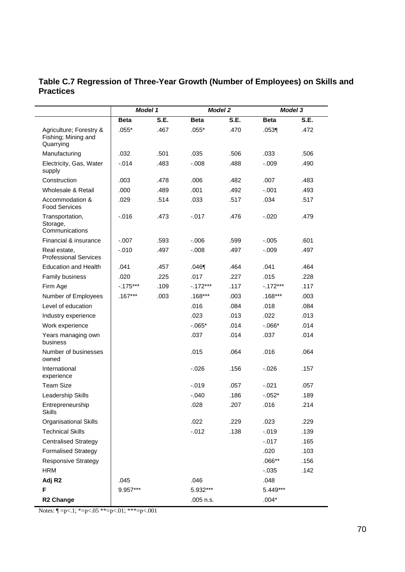#### **Table C.7 Regression of Three-Year Growth (Number of Employees) on Skills and Practices**

|                                                             | Model 1     |      | <b>Model 2</b> |      | <b>Model 3</b> |      |
|-------------------------------------------------------------|-------------|------|----------------|------|----------------|------|
|                                                             | <b>Beta</b> | S.E. | <b>Beta</b>    | S.E. | <b>Beta</b>    | S.E. |
| Agriculture; Forestry &<br>Fishing; Mining and<br>Quarrying | $.055*$     | .467 | $.055*$        | .470 | .053           | .472 |
| Manufacturing                                               | .032        | .501 | .035           | .506 | .033           | .506 |
| Electricity, Gas, Water<br>supply                           | $-.014$     | .483 | $-0.008$       | .488 | $-0.09$        | .490 |
| Construction                                                | .003        | .478 | .006           | .482 | .007           | .483 |
| Wholesale & Retail                                          | .000        | .489 | .001           | .492 | $-.001$        | .493 |
| Accommodation &<br><b>Food Services</b>                     | .029        | .514 | .033           | .517 | .034           | .517 |
| Transportation,<br>Storage,<br>Communications               | $-0.016$    | .473 | $-0.017$       | .476 | $-.020$        | .479 |
| Financial & insurance                                       | $-.007$     | .593 | $-0.06$        | .599 | $-.005$        | .601 |
| Real estate,<br><b>Professional Services</b>                | $-.010$     | .497 | $-0.008$       | .497 | $-0.09$        | .497 |
| <b>Education and Health</b>                                 | .041        | .457 | .046           | .464 | .041           | .464 |
| Family business                                             | .020        | .225 | .017           | .227 | .015           | .228 |
| Firm Age                                                    | $-.175***$  | .109 | $-.172***$     | .117 | $-.172***$     | .117 |
| Number of Employees                                         | $.167***$   | .003 | $.168***$      | .003 | $.168***$      | .003 |
| Level of education                                          |             |      | .016           | .084 | .018           | .084 |
| Industry experience                                         |             |      | .023           | .013 | .022           | .013 |
| Work experience                                             |             |      | $-0.065*$      | .014 | $-0.066*$      | .014 |
| Years managing own<br>business                              |             |      | .037           | .014 | .037           | .014 |
| Number of businesses<br>owned                               |             |      | .015           | .064 | .016           | .064 |
| International<br>experience                                 |             |      | $-0.026$       | .156 | $-0.026$       | .157 |
| <b>Team Size</b>                                            |             |      | $-0.019$       | .057 | $-.021$        | .057 |
| Leadership Skills                                           |             |      | $-.040$        | .186 | $-.052*$       | .189 |
| Entrepreneurship<br><b>Skills</b>                           |             |      | .028           | .207 | .016           | .214 |
| Organisational Skills                                       |             |      | .022           | .229 | .023           | .229 |
| <b>Technical Skills</b>                                     |             |      | $-0.012$       | .138 | $-0.019$       | .139 |
| <b>Centralised Strategy</b>                                 |             |      |                |      | $-.017$        | .165 |
| <b>Formalised Strategy</b>                                  |             |      |                |      | .020           | .103 |
| <b>Responsive Strategy</b>                                  |             |      |                |      | $.066**$       | .156 |
| <b>HRM</b>                                                  |             |      |                |      | $-0.035$       | .142 |
| Adj R <sub>2</sub>                                          | .045        |      | .046           |      | .048           |      |
| F                                                           | 9.957***    |      | 5.932***       |      | 5.449***       |      |
| <b>R2 Change</b>                                            |             |      | .005 n.s.      |      | $.004*$        |      |

Notes:  $\P = p < .1$ ;  $* = p < .05$   $** = p < .01$ ;  $** = p < .001$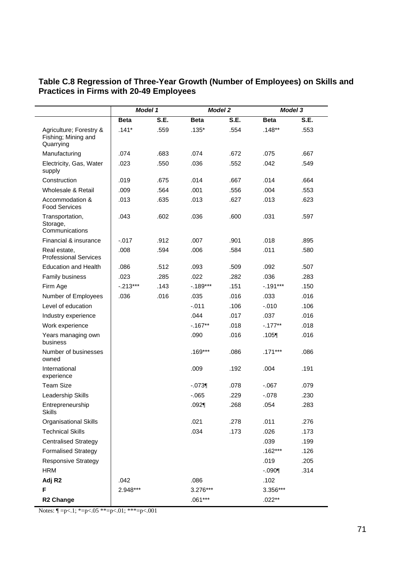|                                                             | Model 1     |      | <b>Model 2</b> |      | <b>Model 3</b> |      |
|-------------------------------------------------------------|-------------|------|----------------|------|----------------|------|
|                                                             | <b>Beta</b> | S.E. | <b>Beta</b>    | S.E. | <b>Beta</b>    | S.E. |
| Agriculture; Forestry &<br>Fishing; Mining and<br>Quarrying | $.141*$     | .559 | $.135*$        | .554 | $.148**$       | .553 |
| Manufacturing                                               | .074        | .683 | .074           | .672 | .075           | .667 |
| Electricity, Gas, Water<br>supply                           | .023        | .550 | .036           | .552 | .042           | .549 |
| Construction                                                | .019        | .675 | .014           | .667 | .014           | .664 |
| Wholesale & Retail                                          | .009        | .564 | .001           | .556 | .004           | .553 |
| Accommodation &<br><b>Food Services</b>                     | .013        | .635 | .013           | .627 | .013           | .623 |
| Transportation,<br>Storage,<br>Communications               | .043        | .602 | .036           | .600 | .031           | .597 |
| Financial & insurance                                       | $-0.017$    | .912 | .007           | .901 | .018           | .895 |
| Real estate,<br><b>Professional Services</b>                | .008        | .594 | .006           | .584 | .011           | .580 |
| <b>Education and Health</b>                                 | .086        | .512 | .093           | .509 | .092           | .507 |
| Family business                                             | .023        | .285 | .022           | .282 | .036           | .283 |
| Firm Age                                                    | $-0.213***$ | .143 | $-0.189***$    | .151 | $-.191***$     | .150 |
| Number of Employees                                         | .036        | .016 | .035           | .016 | .033           | .016 |
| Level of education                                          |             |      | $-.011$        | .106 | $-.010$        | .106 |
| Industry experience                                         |             |      | .044           | .017 | .037           | .016 |
| Work experience                                             |             |      | $-0.167**$     | .018 | $-177**$       | .018 |
| Years managing own<br>business                              |             |      | .090           | .016 | .105           | .016 |
| Number of businesses<br>owned                               |             |      | $.169***$      | .086 | $.171***$      | .086 |
| International<br>experience                                 |             |      | .009           | .192 | .004           | .191 |
| <b>Team Size</b>                                            |             |      | $-.073$        | .078 | $-067$         | .079 |
| Leadership Skills                                           |             |      | $-065$         | .229 | $-078$         | .230 |
| Entrepreneurship<br><b>Skills</b>                           |             |      | $.092$ $\P$    | .268 | .054           | .283 |
| <b>Organisational Skills</b>                                |             |      | .021           | .278 | .011           | .276 |
| <b>Technical Skills</b>                                     |             |      | .034           | .173 | .026           | .173 |
| <b>Centralised Strategy</b>                                 |             |      |                |      | .039           | .199 |
| <b>Formalised Strategy</b>                                  |             |      |                |      | $.162***$      | .126 |
| <b>Responsive Strategy</b>                                  |             |      |                |      | .019           | .205 |
| <b>HRM</b>                                                  |             |      |                |      | $-090$         | .314 |
| Adj R <sub>2</sub>                                          | .042        |      | .086           |      | .102           |      |
| F                                                           | 2.948***    |      | 3.276***       |      | 3.356***       |      |
| R <sub>2</sub> Change                                       |             |      | $.061***$      |      | $.022**$       |      |

#### **Table C.8 Regression of Three-Year Growth (Number of Employees) on Skills and Practices in Firms with 20-49 Employees**

Notes:  $\P = p < 1$ ; \*=p<.05 \*\*=p<.01; \*\*\*=p<.001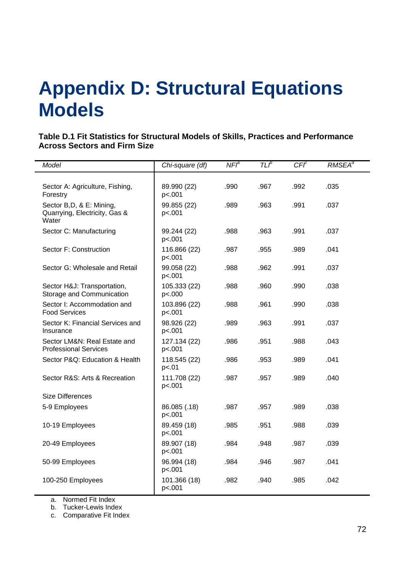## **Appendix D: Structural Equations Models**

**Table D.1 Fit Statistics for Structural Models of Skills, Practices and Performance Across Sectors and Firm Size** 

| Model                                                               | Chi-square (df)        | NFI <sup>a</sup> | TLP  | CFT <sup>c</sup> | $RMSEA^d$ |
|---------------------------------------------------------------------|------------------------|------------------|------|------------------|-----------|
|                                                                     |                        |                  |      |                  |           |
| Sector A: Agriculture, Fishing,<br>Forestry                         | 89.990 (22)<br>p<.001  | .990             | .967 | .992             | .035      |
| Sector B, D, & E: Mining,<br>Quarrying, Electricity, Gas &<br>Water | 99.855 (22)<br>p<.001  | .989             | .963 | .991             | .037      |
| Sector C: Manufacturing                                             | 99.244 (22)<br>p<.001  | .988             | .963 | .991             | .037      |
| Sector F: Construction                                              | 116.866 (22)<br>p<.001 | .987             | .955 | .989             | .041      |
| Sector G: Wholesale and Retail                                      | 99.058 (22)<br>p<.001  | .988             | .962 | .991             | .037      |
| Sector H&J: Transportation,<br>Storage and Communication            | 105.333 (22)<br>p<.000 | .988             | .960 | .990             | .038      |
| Sector I: Accommodation and<br><b>Food Services</b>                 | 103.896 (22)<br>p<.001 | .988             | .961 | .990             | .038      |
| Sector K: Financial Services and<br>Insurance                       | 98.926 (22)<br>p<.001  | .989             | .963 | .991             | .037      |
| Sector LM&N: Real Estate and<br><b>Professional Services</b>        | 127.134 (22)<br>p<.001 | .986             | .951 | .988             | .043      |
| Sector P&Q: Education & Health                                      | 118.545 (22)<br>p<.01  | .986             | .953 | .989             | .041      |
| Sector R&S: Arts & Recreation                                       | 111.708 (22)<br>p<.001 | .987             | .957 | .989             | .040      |
| <b>Size Differences</b>                                             |                        |                  |      |                  |           |
| 5-9 Employees                                                       | 86.085 (.18)<br>p<.001 | .987             | .957 | .989             | .038      |
| 10-19 Employees                                                     | 89.459 (18)<br>p<.001  | .985             | .951 | .988             | .039      |
| 20-49 Employees                                                     | 89.907 (18)<br>p<.001  | .984             | .948 | .987             | .039      |
| 50-99 Employees                                                     | 96.994 (18)<br>p<.001  | .984             | .946 | .987             | .041      |
| 100-250 Employees                                                   | 101.366 (18)<br>p<.001 | .982             | .940 | .985             | .042      |

a. Normed Fit Index

b. Tucker-Lewis Index

c. Comparative Fit Index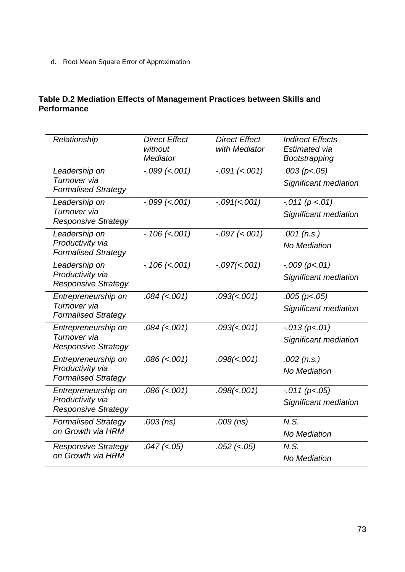d. Root Mean Square Error of Approximation

## **Table D.2 Mediation Effects of Management Practices between Skills and Performance**

| Relationship                                                          | <b>Direct Effect</b><br>without<br><b>Mediator</b> | <b>Direct Effect</b><br>with Mediator | <b>Indirect Effects</b><br>Estimated via<br>Bootstrapping |
|-----------------------------------------------------------------------|----------------------------------------------------|---------------------------------------|-----------------------------------------------------------|
| Leadership on<br>Turnover via<br><b>Formalised Strategy</b>           | $-.099$ (<.001)                                    | $-.091$ (<.001)                       | .003 (p< .05)<br>Significant mediation                    |
| Leadership on<br>Turnover via<br><b>Responsive Strategy</b>           | $-.099$ (<.001)                                    | $-.091(<.001)$                        | $-.011 (p < .01)$<br>Significant mediation                |
| Leadership on<br>Productivity via<br><b>Formalised Strategy</b>       | $-.106$ (<.001)                                    | $-.097$ (<.001)                       | $.001$ (n.s.)<br><b>No Mediation</b>                      |
| Leadership on<br>Productivity via<br><b>Responsive Strategy</b>       | $-.106$ (<.001)                                    | $-.097(<.001)$                        | $-.009 (p<.01)$<br>Significant mediation                  |
| Entrepreneurship on<br>Turnover via<br><b>Formalised Strategy</b>     | $.084$ (<.001)                                     | .093(< .001)                          | $.005$ (p<.05)<br>Significant mediation                   |
| Entrepreneurship on<br>Turnover via<br><b>Responsive Strategy</b>     | $.084$ (<.001)                                     | .093(<.001)                           | $-.013 (p<.01)$<br>Significant mediation                  |
| Entrepreneurship on<br>Productivity via<br><b>Formalised Strategy</b> | $.086$ (<.001)                                     | .098(<.001)                           | $.002$ (n.s.)<br><b>No Mediation</b>                      |
| Entrepreneurship on<br>Productivity via<br><b>Responsive Strategy</b> | $.086$ (<.001)                                     | .098(<.001)                           | $-.011 (p<.05)$<br>Significant mediation                  |
| <b>Formalised Strategy</b><br>on Growth via HRM                       | $.003$ (ns)                                        | $.009$ (ns)                           | N.S.<br><b>No Mediation</b>                               |
| <b>Responsive Strategy</b><br>on Growth via HRM                       | $.047$ (<.05)                                      | $.052$ (<.05)                         | N.S.<br><b>No Mediation</b>                               |